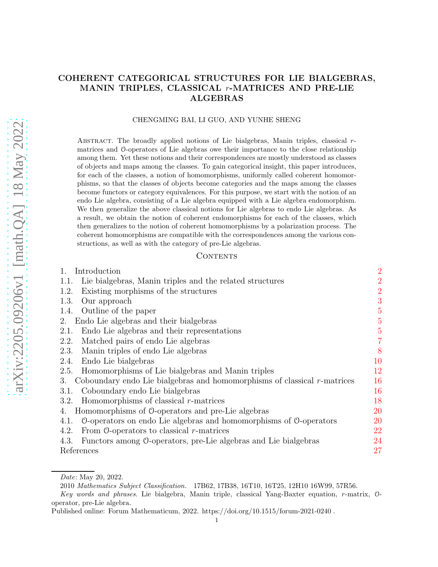# COHERENT CATEGORICAL STRUCTURES FOR LIE BIALGEBRAS, MANIN TRIPLES, CLASSICAL r-MATRICES AND PRE-LIE ALGEBRAS

#### CHENGMING BAI, LI GUO, AND YUNHE SHENG

ABSTRACT. The broadly applied notions of Lie bialgebras, Manin triples, classical  $r$ matrices and O-operators of Lie algebras owe their importance to the close relationship among them. Yet these notions and their correspondences are mostly understood as classes of objects and maps among the classes. To gain categorical insight, this paper introduces, for each of the classes, a notion of homomorphisms, uniformly called coherent homomorphisms, so that the classes of objects become categories and the maps among the classes become functors or category equivalences. For this purpose, we start with the notion of an endo Lie algebra, consisting of a Lie algebra equipped with a Lie algebra endomorphism. We then generalize the above classical notions for Lie algebras to endo Lie algebras. As a result, we obtain the notion of coherent endomorphisms for each of the classes, which then generalizes to the notion of coherent homomorphisms by a polarization process. The coherent homomorphisms are compatible with the correspondences among the various constructions, as well as with the category of pre-Lie algebras.

### CONTENTS

| $\mathbf{1}_{\cdot}$<br>Introduction                                                      | $\overline{2}$ |
|-------------------------------------------------------------------------------------------|----------------|
| Lie bialgebras, Manin triples and the related structures<br>1.1.                          | $\overline{2}$ |
| Existing morphisms of the structures<br>1.2.                                              | $\overline{2}$ |
| 1.3.<br>Our approach                                                                      | 3              |
| Outline of the paper<br>1.4.                                                              | $\overline{5}$ |
| Endo Lie algebras and their bialgebras<br>2.                                              | $\overline{5}$ |
| Endo Lie algebras and their representations<br>2.1.                                       | $\overline{5}$ |
| Matched pairs of endo Lie algebras<br>2.2.                                                | $\overline{7}$ |
| Manin triples of endo Lie algebras<br>2.3.                                                | 8              |
| Endo Lie bialgebras<br>2.4.                                                               | 10             |
| Homomorphisms of Lie bialgebras and Manin triples<br>2.5.                                 | 12             |
| Coboundary endo Lie bialgebras and homomorphisms of classical $r$ -matrices<br>3.         | 16             |
| Coboundary endo Lie bialgebras<br>3.1.                                                    | 16             |
| Homomorphisms of classical $r$ -matrices<br>3.2.                                          | 18             |
| Homomorphisms of O-operators and pre-Lie algebras<br>4.                                   | 20             |
| $\theta$ -operators on endo Lie algebras and homomorphisms of $\theta$ -operators<br>4.1. | 20             |
| From $\theta$ -operators to classical <i>r</i> -matrices<br>4.2.                          | 22             |
| 4.3.<br>Functors among 0-operators, pre-Lie algebras and Lie bialgebras                   | 24             |
| References                                                                                | 27             |

Date: May 20, 2022.

<sup>2010</sup> Mathematics Subject Classification. 17B62, 17B38, 16T10, 16T25, 12H10 16W99, 57R56.

Key words and phrases. Lie bialgebra, Manin triple, classical Yang-Baxter equation, r-matrix, Ooperator, pre-Lie algebra.

Published online: Forum Mathematicum, 2022. https://doi.org/10.1515/forum-2021-0240 .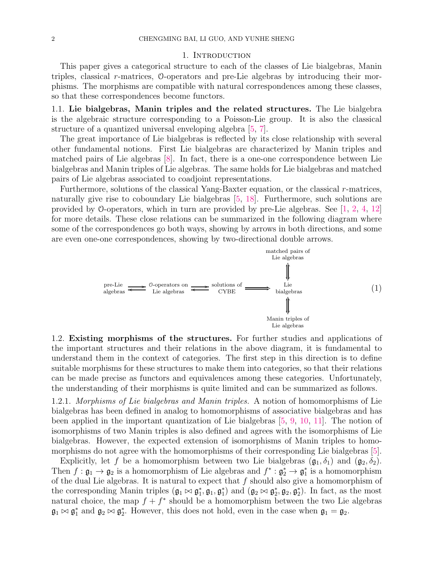#### 1. INTRODUCTION

This paper gives a categorical structure to each of the classes of Lie bialgebras, Manin triples, classical r-matrices, O-operators and pre-Lie algebras by introducing their morphisms. The morphisms are compatible with natural correspondences among these classes, so that these correspondences become functors.

1.1. Lie bialgebras, Manin triples and the related structures. The Lie bialgebra is the algebraic structure corresponding to a Poisson-Lie group. It is also the classical structure of a quantized universal enveloping algebra [5, 7].

The great importance of Lie bialgebras is reflected by its close relationship with several other fundamental notions. First Lie bialgebras are characterized by Manin triples and matched pairs of Lie algebras [8]. In fact, there is a one-one correspondence between Lie bialgebras and Manin triples of Lie algebras. The same holds for Lie bialgebras and matched pairs of Lie algebras associated to coadjoint representations.

Furthermore, solutions of the classical Yang-Baxter equation, or the classical r-matrices, naturally give rise to coboundary Lie bialgebras [5, 18]. Furthermore, such solutions are provided by O-operators, which in turn are provided by pre-Lie algebras. See [1, 2, 4, 12] for more details. These close relations can be summarized in the following diagram where some of the correspondences go both ways, showing by arrows in both directions, and some are even one-one correspondences, showing by two-directional double arrows.



1.2. Existing morphisms of the structures. For further studies and applications of the important structures and their relations in the above diagram, it is fundamental to understand them in the context of categories. The first step in this direction is to define suitable morphisms for these structures to make them into categories, so that their relations can be made precise as functors and equivalences among these categories. Unfortunately, the understanding of their morphisms is quite limited and can be summarized as follows.

1.2.1. *Morphisms of Lie bialgebras and Manin triples.* A notion of homomorphisms of Lie bialgebras has been defined in analog to homomorphisms of associative bialgebras and has been applied in the important quantization of Lie bialgebras [5, 9, 10, 11]. The notion of isomorphisms of two Manin triples is also defined and agrees with the isomorphisms of Lie bialgebras. However, the expected extension of isomorphisms of Manin triples to homomorphisms do not agree with the homomorphisms of their corresponding Lie bialgebras [5].

Explicitly, let f be a homomorphism between two Lie bialgebras  $(\mathfrak{g}_1, \delta_1)$  and  $(\mathfrak{g}_2, \delta_2)$ . Then  $f: \mathfrak{g}_1 \to \mathfrak{g}_2$  is a homomorphism of Lie algebras and  $f^* : \mathfrak{g}_2^* \to \mathfrak{g}_1^*$  is a homomorphism of the dual Lie algebras. It is natural to expect that  $f$  should also give a homomorphism of the corresponding Manin triples  $(\mathfrak{g}_1 \bowtie \mathfrak{g}_1^*, \mathfrak{g}_1, \mathfrak{g}_1^*)$  and  $(\mathfrak{g}_2 \bowtie \mathfrak{g}_2^*, \mathfrak{g}_2, \mathfrak{g}_2^*)$ . In fact, as the most natural choice, the map  $f + f^*$  should be a homomorphism between the two Lie algebras  $\mathfrak{g}_1 \bowtie \mathfrak{g}_1^*$  and  $\mathfrak{g}_2 \bowtie \mathfrak{g}_2^*$ . However, this does not hold, even in the case when  $\mathfrak{g}_1 = \mathfrak{g}_2$ .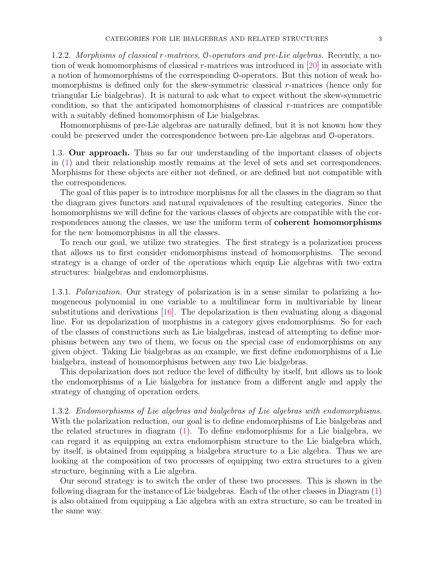1.2.2. *Morphisms of classical* r*-matrices,* O*-operators and pre-Lie algebras.* Recently, a notion of weak homomorphisms of classical r-matrices was introduced in [20] in associate with a notion of homomorphisms of the corresponding O-operators. But this notion of weak homomorphisms is defined only for the skew-symmetric classical r-matrices (hence only for triangular Lie bialgebras). It is natural to ask what to expect without the skew-symmetric condition, so that the anticipated homomorphisms of classical  $r$ -matrices are compatible with a suitably defined homomorphism of Lie bialgebras.

Homomorphisms of pre-Lie algebras are naturally defined, but it is not known how they could be preserved under the correspondence between pre-Lie algebras and O-operators.

1.3. Our approach. Thus so far our understanding of the important classes of objects in (1) and their relationship mostly remains at the level of sets and set correspondences. Morphisms for these objects are either not defined, or are defined but not compatible with the correspondences.

The goal of this paper is to introduce morphisms for all the classes in the diagram so that the diagram gives functors and natural equivalences of the resulting categories. Since the homomorphisms we will define for the various classes of objects are compatible with the correspondences among the classes, we use the uniform term of coherent homomorphisms for the new homomorphisms in all the classes.

To reach our goal, we utilize two strategies. The first strategy is a polarization process that allows us to first consider endomorphisms instead of homomorphisms. The second strategy is a change of order of the operations which equip Lie algebras with two extra structures: bialgebras and endomorphisms.

1.3.1. *Polarization.* Our strategy of polarization is in a sense similar to polarizing a homogeneous polynomial in one variable to a multilinear form in multivariable by linear substitutions and derivations [16]. The depolarization is then evaluating along a diagonal line. For us depolarization of morphisms in a category gives endomorphisms. So for each of the classes of constructions such as Lie bialgebras, instead of attempting to define morphisms between any two of them, we focus on the special case of endomorphisms on any given object. Taking Lie bialgebras as an example, we first define endomorphisms of a Lie bialgebra, instead of homomorphisms between any two Lie bialgebras.

This depolarization does not reduce the level of difficulty by itself, but allows us to look the endomorphisms of a Lie bialgebra for instance from a different angle and apply the strategy of changing of operation orders.

1.3.2. *Endomorphisms of Lie algebras and bialgebras of Lie algebras with endomorphisms.* With the polarization reduction, our goal is to define endomorphisms of Lie bialgebras and the related structures in diagram (1). To define endomorphisms for a Lie bialgebra, we can regard it as equipping an extra endomorphism structure to the Lie bialgebra which, by itself, is obtained from equipping a bialgebra structure to a Lie algebra. Thus we are looking at the composition of two processes of equipping two extra structures to a given structure, beginning with a Lie algebra.

Our second strategy is to switch the order of these two processes. This is shown in the following diagram for the instance of Lie bialgebras. Each of the other classes in Diagram (1) is also obtained from equipping a Lie algebra with an extra structure, so can be treated in the same way.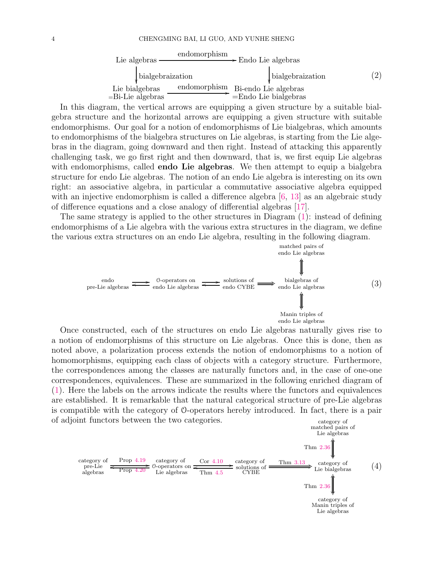| Lie algebras                          | endomorphism | $\rightarrow$ Endo Lie algebras |                         |                   |
|---------------------------------------|--------------|---------------------------------|-------------------------|-------------------|
| bialgebraization                      |              |                                 | bialgebraization        | $\left( 2\right)$ |
| Lie bialgebras<br>$=$ Bi-Lie algebras | endomorphism | Bi-endo Lie algebras            | $=$ Endo Lie bialgebras |                   |

In this diagram, the vertical arrows are equipping a given structure by a suitable bialgebra structure and the horizontal arrows are equipping a given structure with suitable endomorphisms. Our goal for a notion of endomorphisms of Lie bialgebras, which amounts to endomorphisms of the bialgebra structures on Lie algebras, is starting from the Lie algebras in the diagram, going downward and then right. Instead of attacking this apparently challenging task, we go first right and then downward, that is, we first equip Lie algebras with endomorphisms, called **endo Lie algebras**. We then attempt to equip a bialgebra structure for endo Lie algebras. The notion of an endo Lie algebra is interesting on its own right: an associative algebra, in particular a commutative associative algebra equipped with an injective endomorphism is called a difference algebra  $[6, 13]$  as an algebraic study of difference equations and a close analogy of differential algebras [17].

The same strategy is applied to the other structures in Diagram (1): instead of defining endomorphisms of a Lie algebra with the various extra structures in the diagram, we define the various extra structures on an endo Lie algebra, resulting in the following diagram.



Once constructed, each of the structures on endo Lie algebras naturally gives rise to a notion of endomorphisms of this structure on Lie algebras. Once this is done, then as noted above, a polarization process extends the notion of endomorphisms to a notion of homomorphisms, equipping each class of objects with a category structure. Furthermore, the correspondences among the classes are naturally functors and, in the case of one-one correspondences, equivalences. These are summarized in the following enriched diagram of (1). Here the labels on the arrows indicate the results where the functors and equivalences are established. It is remarkable that the natural categorical structure of pre-Lie algebras is compatible with the category of O-operators hereby introduced. In fact, there is a pair of adjoint functors between the two categories.  $\qquad \qquad \text{category of}$ 

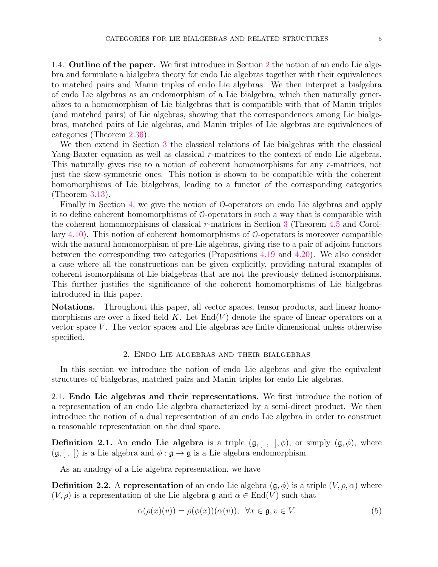1.4. Outline of the paper. We first introduce in Section 2 the notion of an endo Lie algebra and formulate a bialgebra theory for endo Lie algebras together with their equivalences to matched pairs and Manin triples of endo Lie algebras. We then interpret a bialgebra of endo Lie algebras as an endomorphism of a Lie bialgebra, which then naturally generalizes to a homomorphism of Lie bialgebras that is compatible with that of Manin triples (and matched pairs) of Lie algebras, showing that the correspondences among Lie bialgebras, matched pairs of Lie algebras, and Manin triples of Lie algebras are equivalences of categories (Theorem 2.36).

We then extend in Section 3 the classical relations of Lie bialgebras with the classical Yang-Baxter equation as well as classical r-matrices to the context of endo Lie algebras. This naturally gives rise to a notion of coherent homomorphisms for any r-matrices, not just the skew-symmetric ones. This notion is shown to be compatible with the coherent homomorphisms of Lie bialgebras, leading to a functor of the corresponding categories (Theorem 3.13).

Finally in Section 4, we give the notion of O-operators on endo Lie algebras and apply it to define coherent homomorphisms of O-operators in such a way that is compatible with the coherent homomorphisms of classical r-matrices in Section 3 (Theorem 4.5 and Corollary 4.10). This notion of coherent homomorphisms of O-operators is moreover compatible with the natural homomorphism of pre-Lie algebras, giving rise to a pair of adjoint functors between the corresponding two categories (Propositions 4.19 and 4.20). We also consider a case where all the constructions can be given explicitly, providing natural examples of coherent isomorphisms of Lie bialgebras that are not the previously defined isomorphisms. This further justifies the significance of the coherent homomorphisms of Lie bialgebras introduced in this paper.

Notations. Throughout this paper, all vector spaces, tensor products, and linear homomorphisms are over a fixed field  $K$ . Let  $End(V)$  denote the space of linear operators on a vector space  $V$ . The vector spaces and Lie algebras are finite dimensional unless otherwise specified.

#### 2. Endo Lie algebras and their bialgebras

In this section we introduce the notion of endo Lie algebras and give the equivalent structures of bialgebras, matched pairs and Manin triples for endo Lie algebras.

2.1. Endo Lie algebras and their representations. We first introduce the notion of a representation of an endo Lie algebra characterized by a semi-direct product. We then introduce the notion of a dual representation of an endo Lie algebra in order to construct a reasonable representation on the dual space.

**Definition 2.1.** An endo Lie algebra is a triple  $(\mathfrak{g}, [ , ], \phi)$ , or simply  $(\mathfrak{g}, \phi)$ , where  $(\mathfrak{g}, [ \ , \ ])$  is a Lie algebra and  $\phi : \mathfrak{g} \to \mathfrak{g}$  is a Lie algebra endomorphism.

As an analogy of a Lie algebra representation, we have

**Definition 2.2.** A representation of an endo Lie algebra  $(\mathfrak{g}, \phi)$  is a triple  $(V, \rho, \alpha)$  where  $(V, \rho)$  is a representation of the Lie algebra g and  $\alpha \in \text{End}(V)$  such that

$$
\alpha(\rho(x)(v)) = \rho(\phi(x))(\alpha(v)), \quad \forall x \in \mathfrak{g}, v \in V.
$$
\n<sup>(5)</sup>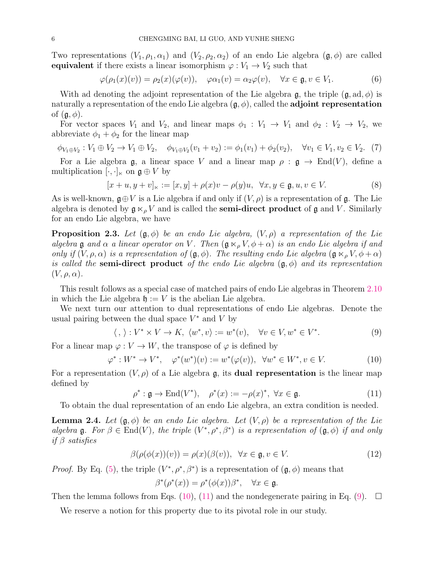Two representations  $(V_1, \rho_1, \alpha_1)$  and  $(V_2, \rho_2, \alpha_2)$  of an endo Lie algebra  $(\mathfrak{g}, \phi)$  are called equivalent if there exists a linear isomorphism  $\varphi: V_1 \to V_2$  such that

$$
\varphi(\rho_1(x)(v)) = \rho_2(x)(\varphi(v)), \quad \varphi\alpha_1(v) = \alpha_2\varphi(v), \quad \forall x \in \mathfrak{g}, v \in V_1.
$$
 (6)

With ad denoting the adjoint representation of the Lie algebra g, the triple  $(\mathfrak{g}, ad, \phi)$  is naturally a representation of the endo Lie algebra  $(g, \phi)$ , called the adjoint representation of  $(\mathfrak{g}, \phi)$ .

For vector spaces  $V_1$  and  $V_2$ , and linear maps  $\phi_1 : V_1 \to V_1$  and  $\phi_2 : V_2 \to V_2$ , we abbreviate  $\phi_1 + \phi_2$  for the linear map

$$
\phi_{V_1 \oplus V_2} : V_1 \oplus V_2 \to V_1 \oplus V_2, \quad \phi_{V_1 \oplus V_2}(v_1 + v_2) := \phi_1(v_1) + \phi_2(v_2), \quad \forall v_1 \in V_1, v_2 \in V_2. \tag{7}
$$

For a Lie algebra  $\mathfrak{g}$ , a linear space V and a linear map  $\rho : \mathfrak{g} \to \text{End}(V)$ , define a multiplication  $[\cdot, \cdot]_{\ltimes}$  on  $\mathfrak{g} \oplus V$  by

$$
[x+u, y+v]_{\ltimes} := [x, y] + \rho(x)v - \rho(y)u, \ \forall x, y \in \mathfrak{g}, u, v \in V.
$$
 (8)

As is well-known,  $\mathfrak{g} \oplus V$  is a Lie algebra if and only if  $(V, \rho)$  is a representation of  $\mathfrak{g}$ . The Lie algebra is denoted by  $\mathfrak{g} \ltimes_{\rho} V$  and is called the **semi-direct product** of  $\mathfrak{g}$  and V. Similarly for an endo Lie algebra, we have

**Proposition 2.3.** Let  $(\mathfrak{g}, \phi)$  be an endo Lie algebra,  $(V, \rho)$  a representation of the Lie *algebra* g *and*  $\alpha$  *a linear operator on* V. Then  $(g \ltimes_{\rho} V, \phi + \alpha)$  *is an endo Lie algebra if and only if*  $(V, \rho, \alpha)$  *is a representation of*  $(g, \phi)$ *. The resulting endo Lie algebra*  $(g \ltimes_{\rho} V, \phi + \alpha)$ *is called the* semi-direct product *of the endo Lie algebra* (g, φ) *and its representation*  $(V, \rho, \alpha)$ .

This result follows as a special case of matched pairs of endo Lie algebras in Theorem 2.10 in which the Lie algebra  $\mathfrak{h} := V$  is the abelian Lie algebra.

We next turn our attention to dual representations of endo Lie algebras. Denote the usual pairing between the dual space  $V^*$  and V by

$$
\langle , \rangle : V^* \times V \to K, \ \langle w^*, v \rangle := w^*(v), \quad \forall v \in V, w^* \in V^*.
$$

For a linear map  $\varphi: V \to W$ , the transpose of  $\varphi$  is defined by

$$
\varphi^* : W^* \to V^*, \quad \varphi^*(w^*)(v) := w^*(\varphi(v)), \ \ \forall w^* \in W^*, v \in V. \tag{10}
$$

For a representation  $(V, \rho)$  of a Lie algebra g, its **dual representation** is the linear map defined by

$$
\rho^* : \mathfrak{g} \to \text{End}(V^*), \quad \rho^*(x) := -\rho(x)^*, \ \forall x \in \mathfrak{g}.
$$
 (11)

To obtain the dual representation of an endo Lie algebra, an extra condition is needed.

**Lemma 2.4.** Let  $(\mathfrak{g}, \phi)$  be an endo Lie algebra. Let  $(V, \rho)$  be a representation of the Lie *algebra*  $\mathfrak{g}$ *. For*  $\beta \in \text{End}(V)$ *, the triple*  $(V^*, \rho^*, \beta^*)$  *is a representation of*  $(\mathfrak{g}, \phi)$  *if and only if* β *satisfies*

$$
\beta(\rho(\phi(x))(v)) = \rho(x)(\beta(v)), \quad \forall x \in \mathfrak{g}, v \in V. \tag{12}
$$

*Proof.* By Eq. (5), the triple  $(V^*, \rho^*, \beta^*)$  is a representation of  $(\mathfrak{g}, \phi)$  means that

$$
\beta^*(\rho^*(x)) = \rho^*(\phi(x))\beta^*, \quad \forall x \in \mathfrak{g}.
$$

Then the lemma follows from Eqs. (10), (11) and the nondegenerate pairing in Eq. (9).  $\Box$ 

We reserve a notion for this property due to its pivotal role in our study.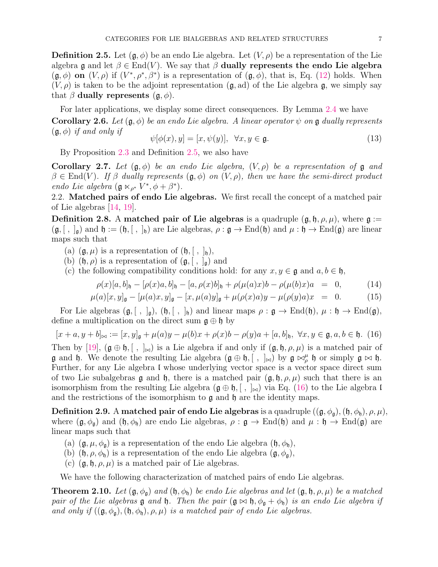**Definition 2.5.** Let  $(\mathfrak{g}, \phi)$  be an endo Lie algebra. Let  $(V, \rho)$  be a representation of the Lie algebra g and let  $\beta \in \text{End}(V)$ . We say that  $\beta$  dually represents the endo Lie algebra  $(\mathfrak{g}, \phi)$  on  $(V, \rho)$  if  $(V^*, \rho^*, \beta^*)$  is a representation of  $(\mathfrak{g}, \phi)$ , that is, Eq. (12) holds. When  $(V, \rho)$  is taken to be the adjoint representation  $(g, ad)$  of the Lie algebra g, we simply say that  $\beta$  dually represents  $(\mathfrak{g}, \phi)$ .

For later applications, we display some direct consequences. By Lemma 2.4 we have **Corollary 2.6.** Let  $(\mathfrak{g}, \phi)$  be an endo Lie algebra. A linear operator  $\psi$  on  $\mathfrak{g}$  dually represents  $(\mathfrak{g}, \phi)$  *if and only if* 

$$
\psi[\phi(x), y] = [x, \psi(y)], \quad \forall x, y \in \mathfrak{g}.\tag{13}
$$

By Proposition 2.3 and Definition 2.5, we also have

Corollary 2.7. Let  $(\mathfrak{g}, \phi)$  be an endo Lie algebra,  $(V, \rho)$  be a representation of  $\mathfrak g$  and  $\beta \in \text{End}(V)$ *. If*  $\beta$  *dually represents*  $(\mathfrak{g}, \phi)$  *on*  $(V, \rho)$ *, then we have the semi-direct product endo Lie algebra*  $(\mathfrak{g} \ltimes_{\rho^*} V^*, \phi + \beta^*).$ 

2.2. Matched pairs of endo Lie algebras. We first recall the concept of a matched pair of Lie algebras [14, 19].

**Definition 2.8.** A matched pair of Lie algebras is a quadruple  $(\mathfrak{g}, \mathfrak{h}, \rho, \mu)$ , where  $\mathfrak{g} :=$  $(\mathfrak{g}, [ , ]_{\mathfrak{g}})$  and  $\mathfrak{h} := (\mathfrak{h}, [ , ]_{\mathfrak{h}})$  are Lie algebras,  $\rho : \mathfrak{g} \to \text{End}(\mathfrak{h})$  and  $\mu : \mathfrak{h} \to \text{End}(\mathfrak{g})$  are linear maps such that

(a)  $(\mathfrak{g}, \mu)$  is a representation of  $(\mathfrak{h}, [ , ]_{\mathfrak{h}})$ ,

- (b)  $(\mathfrak{h}, \rho)$  is a representation of  $(\mathfrak{g}, [ , ]_{\mathfrak{g}})$  and
- (c) the following compatibility conditions hold: for any  $x, y \in \mathfrak{g}$  and  $a, b \in \mathfrak{h}$ ,

$$
\rho(x)[a,b]_{\mathfrak{h}} - [\rho(x)a,b]_{\mathfrak{h}} - [a,\rho(x)b]_{\mathfrak{h}} + \rho(\mu(a)x)b - \rho(\mu(b)x)a = 0, \quad (14)
$$

$$
\mu(a)[x, y]_{\mathfrak{g}} - [\mu(a)x, y]_{\mathfrak{g}} - [x, \mu(a)y]_{\mathfrak{g}} + \mu(\rho(x)a)y - \mu(\rho(y)a)x = 0. \tag{15}
$$

For Lie algebras  $(\mathfrak{g}, [ , ]_{\mathfrak{g}}), (\mathfrak{h}, [ , ]_{\mathfrak{h}})$  and linear maps  $\rho : \mathfrak{g} \to \text{End}(\mathfrak{h}), \mu : \mathfrak{h} \to \text{End}(\mathfrak{g}),$ define a multiplication on the direct sum  $\mathfrak{g} \oplus \mathfrak{h}$  by

 $[x + a, y + b]_{\bowtie} := [x, y]_{\mathfrak{a}} + \mu(a)y - \mu(b)x + \rho(x)b - \rho(y)a + [a, b]_{\mathfrak{h}}, \forall x, y \in \mathfrak{g}, a, b \in \mathfrak{h}.$  (16)

Then by [19],  $(g \oplus \mathfrak{h}, [ , ]_{\bowtie} )$  is a Lie algebra if and only if  $(g, \mathfrak{h}, \rho, \mu)$  is a matched pair of  $\mathfrak g$  and  $\mathfrak h$ . We denote the resulting Lie algebra  $(\mathfrak g \oplus \mathfrak h, [\ , \ ]_{\approx})$  by  $\mathfrak g \bowtie_{\rho}^{\mu} \mathfrak h$  or simply  $\mathfrak g \bowtie \mathfrak h$ . Further, for any Lie algebra I whose underlying vector space is a vector space direct sum of two Lie subalgebras g and h, there is a matched pair  $(\mathfrak{g}, \mathfrak{h}, \rho, \mu)$  such that there is an isomorphism from the resulting Lie algebra  $(\mathfrak{g} \oplus \mathfrak{h}, [ , ]_{\bowtie})$  via Eq. (16) to the Lie algebra l and the restrictions of the isomorphism to  $\mathfrak g$  and  $\mathfrak h$  are the identity maps.

**Definition 2.9.** A matched pair of endo Lie algebras is a quadruple  $((\mathfrak{g}, \phi_{\mathfrak{g}}), (\mathfrak{h}, \phi_{\mathfrak{h}}), \rho, \mu)$ , where  $(\mathfrak{g}, \phi_{\mathfrak{g}})$  and  $(\mathfrak{h}, \phi_{\mathfrak{h}})$  are endo Lie algebras,  $\rho : \mathfrak{g} \to \text{End}(\mathfrak{h})$  and  $\mu : \mathfrak{h} \to \text{End}(\mathfrak{g})$  are linear maps such that

- (a)  $(\mathfrak{g}, \mu, \phi_{\mathfrak{g}})$  is a representation of the endo Lie algebra  $(\mathfrak{h}, \phi_{\mathfrak{h}})$ ,
- (b)  $(\mathfrak{h}, \rho, \phi_{\mathfrak{h}})$  is a representation of the endo Lie algebra  $(\mathfrak{g}, \phi_{\mathfrak{g}})$ ,
- (c)  $(\mathfrak{g}, \mathfrak{h}, \rho, \mu)$  is a matched pair of Lie algebras.

We have the following characterization of matched pairs of endo Lie algebras.

**Theorem 2.10.** *Let*  $(\mathfrak{g}, \phi_{\mathfrak{g}})$  *and*  $(\mathfrak{h}, \phi_{\mathfrak{h}})$  *be endo Lie algebras and let*  $(\mathfrak{g}, \mathfrak{h}, \rho, \mu)$  *be a matched pair of the Lie algebras* **g** *and* **h**. Then the pair  $(\mathfrak{g} \bowtie \mathfrak{h}, \phi_{\mathfrak{g}} + \phi_{\mathfrak{h}})$  *is an endo Lie algebra if and only if*  $((\mathfrak{g}, \phi_{\mathfrak{g}}), (\mathfrak{h}, \phi_{\mathfrak{h}}), \rho, \mu)$  *is a matched pair of endo Lie algebras.*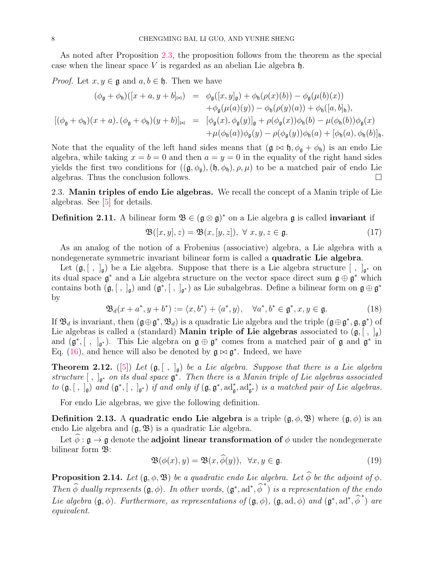As noted after Proposition 2.3, the proposition follows from the theorem as the special case when the linear space  $V$  is regarded as an abelian Lie algebra  $\mathfrak{h}$ .

*Proof.* Let  $x, y \in \mathfrak{g}$  and  $a, b \in \mathfrak{h}$ . Then we have

$$
(\phi_{\mathfrak{g}} + \phi_{\mathfrak{h}})([x + a, y + b]_{\bowtie}) = \phi_{\mathfrak{g}}([x, y]_{\mathfrak{g}}) + \phi_{\mathfrak{h}}(\rho(x)(b)) - \phi_{\mathfrak{g}}(\mu(b)(x)) + \phi_{\mathfrak{g}}(\mu(a)(y)) - \phi_{\mathfrak{h}}(\rho(y)(a)) + \phi_{\mathfrak{h}}([a, b]_{\mathfrak{h}}), [(\phi_{\mathfrak{g}} + \phi_{\mathfrak{h}})(x + a), (\phi_{\mathfrak{g}} + \phi_{\mathfrak{h}})(y + b)]_{\bowtie} = [\phi_{\mathfrak{g}}(x), \phi_{\mathfrak{g}}(y)]_{\mathfrak{g}} + \rho(\phi_{\mathfrak{g}}(x))\phi_{\mathfrak{h}}(b) - \mu(\phi_{\mathfrak{h}}(b))\phi_{\mathfrak{g}}(x) + \mu(\phi_{\mathfrak{h}}(a))\phi_{\mathfrak{g}}(y) - \rho(\phi_{\mathfrak{g}}(y))\phi_{\mathfrak{h}}(a) + [\phi_{\mathfrak{h}}(a), \phi_{\mathfrak{h}}(b)]_{\mathfrak{h}}.
$$

Note that the equality of the left hand sides means that  $(\mathfrak{g} \bowtie \mathfrak{h}, \phi_{\mathfrak{g}} + \phi_{\mathfrak{h}})$  is an endo Lie algebra, while taking  $x = b = 0$  and then  $a = y = 0$  in the equality of the right hand sides yields the first two conditions for  $((\mathfrak{g}, \phi_{\mathfrak{g}}), (\mathfrak{h}, \phi_{\mathfrak{h}}), \rho, \mu)$  to be a matched pair of endo Lie algebras. Thus the conclusion follows.

2.3. Manin triples of endo Lie algebras. We recall the concept of a Manin triple of Lie algebras. See [5] for details.

**Definition 2.11.** A bilinear form  $\mathfrak{B} \in (\mathfrak{g} \otimes \mathfrak{g})^*$  on a Lie algebra  $\mathfrak{g}$  is called **invariant** if

$$
\mathfrak{B}([x,y],z) = \mathfrak{B}(x,[y,z]), \ \forall \ x,y,z \in \mathfrak{g}.\tag{17}
$$

As an analog of the notion of a Frobenius (associative) algebra, a Lie algebra with a nondegenerate symmetric invariant bilinear form is called a quadratic Lie algebra.

Let  $(\mathfrak{g}, [ , ]_{\mathfrak{g}})$  be a Lie algebra. Suppose that there is a Lie algebra structure  $[ , ]_{\mathfrak{g}^*}$  on its dual space  $\mathfrak{g}^*$  and a Lie algebra structure on the vector space direct sum  $\mathfrak{g} \oplus \mathfrak{g}^*$  which contains both  $(\mathfrak{g}, [ , ]_{\mathfrak{g}})$  and  $(\mathfrak{g}^*, [ , ]_{\mathfrak{g}^*})$  as Lie subalgebras. Define a bilinear form on  $\mathfrak{g} \oplus \mathfrak{g}^*$ by

$$
\mathfrak{B}_d(x+a^*,y+b^*) := \langle x,b^* \rangle + \langle a^*,y \rangle, \quad \forall a^*,b^* \in \mathfrak{g}^*, x,y \in \mathfrak{g}.
$$
 (18)

If  $\mathfrak{B}_d$  is invariant, then  $(\mathfrak{g} \oplus \mathfrak{g}^*, \mathfrak{B}_d)$  is a quadratic Lie algebra and the triple  $(\mathfrak{g} \oplus \mathfrak{g}^*, \mathfrak{g}, \mathfrak{g}^*)$  of Lie algebras is called a (standard) **Manin triple of Lie algebras** associated to  $(\mathfrak{g}, [ , ]_{\mathfrak{g}})$ and  $(\mathfrak{g}^*,[ , ]_{\mathfrak{g}^*})$ . This Lie algebra on  $\mathfrak{g} \oplus \mathfrak{g}^*$  comes from a matched pair of  $\mathfrak{g}$  and  $\mathfrak{g}^*$  in Eq. (16), and hence will also be denoted by  $\mathfrak{g} \bowtie \mathfrak{g}^*$ . Indeed, we have

**Theorem 2.12.** ([5]) Let  $(\mathfrak{g}, [ , ]_{\mathfrak{g}})$  be a Lie algebra. Suppose that there is a Lie algebra *structure* [ , ]<sup>g</sup> <sup>∗</sup> *on its dual space* g ∗ *. Then there is a Manin triple of Lie algebras associated to*  $(\mathfrak{g}, [ , ],_{\mathfrak{g}})$  *and*  $(\mathfrak{g}^*, [ , ],_{\mathfrak{g}^*})$  *if and only if*  $(\mathfrak{g}, \mathfrak{g}^*, \mathrm{ad}_{\mathfrak{g}}^*, \mathrm{ad}_{\mathfrak{g}^*})$  *is a matched pair of Lie algebras.* 

For endo Lie algebras, we give the following definition.

**Definition 2.13.** A quadratic endo Lie algebra is a triple  $(\mathfrak{g}, \phi, \mathfrak{B})$  where  $(\mathfrak{g}, \phi)$  is an endo Lie algebra and  $(\mathfrak{g}, \mathfrak{B})$  is a quadratic Lie algebra.

Let  $\widehat{\phi} : \mathfrak{g} \to \mathfrak{g}$  denote the **adjoint linear transformation of**  $\phi$  under the nondegenerate bilinear form  $\mathfrak{B}$ :

$$
\mathfrak{B}(\phi(x), y) = \mathfrak{B}(x, \widehat{\phi}(y)), \ \forall x, y \in \mathfrak{g}.
$$
 (19)

**Proposition 2.14.** *Let*  $(\mathfrak{g}, \phi, \mathfrak{B})$  *be a quadratic endo Lie algebra. Let*  $\widehat{\phi}$  *be the adjoint of*  $\phi$ *. Then*  $\widehat{\phi}$  *dually represents*  $(g, \phi)$ *. In other words,*  $(g^*, ad^*, \widehat{\phi}^*)$  *is a representation of the endo Lie algebra*  $(\mathfrak{g}, \phi)$ . Furthermore, as representations of  $(\mathfrak{g}, \phi)$ ,  $(\mathfrak{g}, ad, \phi)$  and  $(\mathfrak{g}^*, ad^*, \hat{\phi}^*)$  are *equivalent.*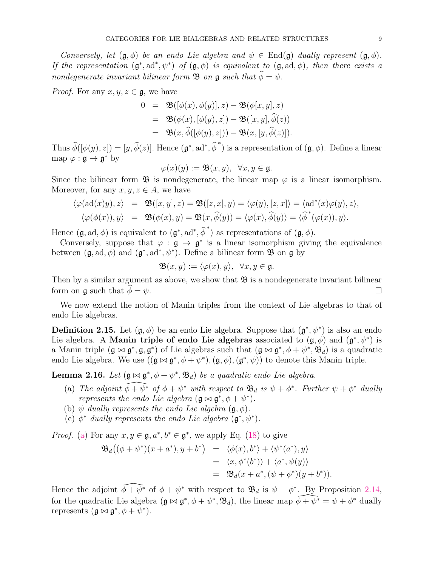*Conversely, let*  $(\mathfrak{g}, \phi)$  *be an endo Lie algebra and*  $\psi \in \text{End}(\mathfrak{g})$  *dually represent*  $(\mathfrak{g}, \phi)$ *. If the representation*  $(g^*, ad^*, \psi^*)$  *of*  $(g, \phi)$  *is equivalent to*  $(g, ad, \phi)$ *, then there exists a nondegenerate invariant bilinear form*  $\mathcal{B}$  *on*  $\mathfrak{g}$  *such that*  $\widehat{\phi} = \psi$ *.* 

*Proof.* For any  $x, y, z \in \mathfrak{g}$ , we have

$$
0 = \mathfrak{B}([\phi(x), \phi(y)], z) - \mathfrak{B}(\phi[x, y], z)
$$
  
\n
$$
= \mathfrak{B}(\phi(x), [\phi(y), z]) - \mathfrak{B}([x, y], \hat{\phi}(z))
$$
  
\n
$$
= \mathfrak{B}(x, \hat{\phi}([\phi(y), z])) - \mathfrak{B}(x, [y, \hat{\phi}(z)]).
$$

Thus  $\widehat{\phi}([\phi(y), z]) = [y, \widehat{\phi}(z)]$ . Hence  $(\mathfrak{g}^*, \text{ad}^*, \widehat{\phi}^*)$  is a representation of  $(\mathfrak{g}, \phi)$ . Define a linear map  $\varphi : \mathfrak{g} \to \mathfrak{g}^*$  by

$$
\varphi(x)(y) := \mathfrak{B}(x, y), \ \ \forall x, y \in \mathfrak{g}.
$$

Since the bilinear form  $\mathfrak{B}$  is nondegenerate, the linear map  $\varphi$  is a linear isomorphism. Moreover, for any  $x, y, z \in A$ , we have

$$
\langle \varphi(\mathrm{ad}(x)y), z \rangle = \mathfrak{B}([x, y], z) = \mathfrak{B}([z, x], y) = \langle \varphi(y), [z, x] \rangle = \langle \mathrm{ad}^*(x)\varphi(y), z \rangle,
$$
  

$$
\langle \varphi(\phi(x)), y \rangle = \mathfrak{B}(\phi(x), y) = \mathfrak{B}(x, \widehat{\phi}(y)) = \langle \varphi(x), \widehat{\phi}(y) \rangle = \langle \widehat{\phi}^*(\varphi(x)), y \rangle.
$$

Hence  $(\mathfrak{g}, \text{ad}, \phi)$  is equivalent to  $(\mathfrak{g}^*, \text{ad}^*, \widehat{\phi}^*)$  as representations of  $(\mathfrak{g}, \phi)$ .

Conversely, suppose that  $\varphi : \mathfrak{g} \to \mathfrak{g}^*$  is a linear isomorphism giving the equivalence between  $(\mathfrak{g}, \text{ad}, \phi)$  and  $(\mathfrak{g}^*, \text{ad}^*, \psi^*)$ . Define a bilinear form  $\mathfrak{B}$  on  $\mathfrak{g}$  by

$$
\mathfrak{B}(x,y) := \langle \varphi(x), y \rangle, \ \ \forall x, y \in \mathfrak{g}.
$$

Then by a similar argument as above, we show that  $\mathfrak{B}$  is a nondegenerate invariant bilinear form on g such that  $\phi = \psi$ .

We now extend the notion of Manin triples from the context of Lie algebras to that of endo Lie algebras.

**Definition 2.15.** Let  $(\mathfrak{g}, \phi)$  be an endo Lie algebra. Suppose that  $(\mathfrak{g}^*, \psi^*)$  is also an endo Lie algebra. A Manin triple of endo Lie algebras associated to  $(\mathfrak{g}, \phi)$  and  $(\mathfrak{g}^*, \psi^*)$  is a Manin triple  $(\mathfrak{g} \bowtie \mathfrak{g}^*, \mathfrak{g}, \mathfrak{g}^*)$  of Lie algebras such that  $(\mathfrak{g} \bowtie \mathfrak{g}^*, \phi + \psi^*, \mathfrak{B}_d)$  is a quadratic endo Lie algebra. We use  $((\mathfrak{g} \bowtie \mathfrak{g}^*, \phi + \psi^*), (\mathfrak{g}, \phi), (\mathfrak{g}^*, \psi))$  to denote this Manin triple.

**Lemma 2.16.** *Let*  $(g \bowtie g^*, \phi + \psi^*, \mathfrak{B}_d)$  *be a quadratic endo Lie algebra.* 

- (a) The adjoint  $\widehat{\phi + \psi^*}$  of  $\phi + \psi^*$  with respect to  $\mathfrak{B}_d$  is  $\psi + \phi^*$ . Further  $\psi + \phi^*$  dually *represents the endo Lie algebra*  $(\mathfrak{g} \bowtie \mathfrak{g}^*, \phi + \psi^*).$
- (b)  $\psi$  *dually represents the endo Lie algebra*  $(\mathfrak{g}, \phi)$ .
- (c)  $\phi^*$  *dually represents the endo Lie algebra*  $(\mathfrak{g}^*, \psi^*)$ .

*Proof.* (a) For any  $x, y \in \mathfrak{g}, a^*, b^* \in \mathfrak{g}^*$ , we apply Eq. (18) to give

$$
\mathfrak{B}_d((\phi + \psi^*)(x + a^*), y + b^*) = \langle \phi(x), b^* \rangle + \langle \psi^*(a^*), y \rangle
$$
  
=  $\langle x, \phi^*(b^*) \rangle + \langle a^*, \psi(y) \rangle$   
=  $\mathfrak{B}_d(x + a^*, (\psi + \phi^*)(y + b^*)).$ 

Hence the adjoint  $\widehat{\phi + \psi^*}$  of  $\phi + \psi^*$  with respect to  $\mathfrak{B}_d$  is  $\psi + \phi^*$ . By Proposition 2.14, for the quadratic Lie algebra  $(\mathfrak{g} \bowtie \mathfrak{g}^*, \phi + \psi^*, \mathfrak{B}_d)$ , the linear map  $\phi \leftrightarrow \psi^* = \psi + \phi^*$  dually represents  $(\mathfrak{g} \bowtie \mathfrak{g}^*, \phi + \psi^*).$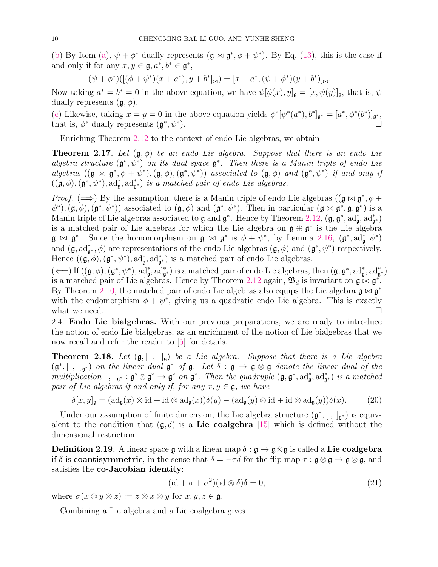(b) By Item (a),  $\psi + \phi^*$  dually represents  $(\mathfrak{g} \bowtie \mathfrak{g}^*, \phi + \psi^*)$ . By Eq. (13), this is the case if and only if for any  $x, y \in \mathfrak{g}, a^*, b^* \in \mathfrak{g}^*,$ 

$$
(\psi + \phi^*) ([(\phi + \psi^*)(x + a^*), y + b^*]_{\bowtie}) = [x + a^*, (\psi + \phi^*)(y + b^*)]_{\bowtie}.
$$

Now taking  $a^* = b^* = 0$  in the above equation, we have  $\psi[\phi(x), y]_{\mathfrak{g}} = [x, \psi(y)]_{\mathfrak{g}}$ , that is,  $\psi$ dually represents  $(\mathfrak{g}, \phi)$ .

(c) Likewise, taking  $x = y = 0$  in the above equation yields  $\phi^*[\psi^*(a^*), b^*]_{\mathfrak{g}^*} = [a^*, \phi^*(b^*)]_{\mathfrak{g}^*}$ that is,  $\phi^*$  dually represents  $(\mathfrak{g}^*, \psi^*)$ ).  $\Box$ 

Enriching Theorem 2.12 to the context of endo Lie algebras, we obtain

**Theorem 2.17.** Let  $(\mathfrak{g}, \phi)$  be an endo Lie algebra. Suppose that there is an endo Lie *algebra structure* (g ∗ , ψ<sup>∗</sup> ) *on its dual space* g ∗ *. Then there is a Manin triple of endo Lie*  $algebras$   $((\mathfrak{g} \bowtie \mathfrak{g}^*, \phi + \psi^*), (\mathfrak{g}, \phi), (\mathfrak{g}^*, \psi^*))$  *associated to*  $(\mathfrak{g}, \phi)$  *and*  $(\mathfrak{g}^*, \psi^*)$  *if and only if*  $((\mathfrak{g}, \phi), (\mathfrak{g}^*, \psi^*), \mathrm{ad}_{\mathfrak{g}}^*, \mathrm{ad}_{\mathfrak{g}^*})$  *is a matched pair of endo Lie algebras.* 

*Proof.* ( $\implies$ ) By the assumption, there is a Manin triple of endo Lie algebras ( $(\mathfrak{g} \bowtie \mathfrak{g}^*, \phi +$  $(\mathfrak{g}, \phi), (\mathfrak{g}^*, \psi^*)$  associated to  $(\mathfrak{g}, \phi)$  and  $(\mathfrak{g}^*, \psi^*)$ . Then in particular  $(\mathfrak{g} \bowtie \mathfrak{g}^*, \mathfrak{g}, \mathfrak{g}^*)$  is a Manin triple of Lie algebras associated to  $\mathfrak g$  and  $\mathfrak g^*$ . Hence by Theorem 2.12,  $(\mathfrak g, \mathfrak g^*, \mathrm{ad}^*_{\mathfrak g}, \mathrm{ad}^*_{\mathfrak g^*})$ is a matched pair of Lie algebras for which the Lie algebra on  $\mathfrak{g} \oplus \mathfrak{g}^*$  is the Lie algebra  $\mathfrak{g} \bowtie \mathfrak{g}^*$ . Since the homomorphism on  $\mathfrak{g} \bowtie \mathfrak{g}^*$  is  $\phi + \psi^*$ , by Lemma 2.16,  $(\mathfrak{g}^*, \mathrm{ad}^*_{\mathfrak{g}}, \psi^*)$ and  $(\mathfrak{g}, \mathrm{ad}_{\mathfrak{g}^*}^*, \phi)$  are representations of the endo Lie algebras  $(\mathfrak{g}, \phi)$  and  $(\mathfrak{g}^*, \psi^*)$  respectively. Hence  $((\mathfrak{g}, \phi), (\mathfrak{g}^*, \psi^*), \mathrm{ad}_{\mathfrak{g}}^*, \mathrm{ad}_{\mathfrak{g}}^*)$  is a matched pair of endo Lie algebras.

 $(\Longleftarrow)$  If  $((\mathfrak{g}, \phi), (\mathfrak{g}^*, \psi^*), \mathrm{ad}_{\mathfrak{g}}^*, \mathrm{ad}_{\mathfrak{g}^*}^*)$  is a matched pair of endo Lie algebras, then  $(\mathfrak{g}, \mathfrak{g}^*, \mathrm{ad}_{\mathfrak{g}}^*, \mathrm{ad}_{\mathfrak{g}^*}^*)$ is a matched pair of Lie algebras. Hence by Theorem 2.12 again,  $\mathfrak{B}_d$  is invariant on  $\mathfrak{g} \times \mathfrak{g}^*$ . By Theorem 2.10, the matched pair of endo Lie algebras also equips the Lie algebra  $\mathfrak{g} \bowtie \mathfrak{g}^*$ with the endomorphism  $\phi + \psi^*$ , giving us a quadratic endo Lie algebra. This is exactly what we need.  $\Box$ 

2.4. Endo Lie bialgebras. With our previous preparations, we are ready to introduce the notion of endo Lie bialgebras, as an enrichment of the notion of Lie bialgebras that we now recall and refer the reader to [5] for details.

**Theorem 2.18.** Let  $(\mathfrak{g}, [ , ]_{\mathfrak{g}})$  be a Lie algebra. Suppose that there is a Lie algebra  $(\mathfrak{g}^*,[ , ]_{\mathfrak{g}^*})$  *on the linear dual*  $\mathfrak{g}^*$  *of*  $\mathfrak{g}$ *. Let*  $\delta : \mathfrak{g} \to \mathfrak{g} \otimes \mathfrak{g}$  *denote the linear dual of the*  $multiplication [ , ]_{\mathfrak{g}^*} : \mathfrak{g}^* \otimes \mathfrak{g}^* \to \mathfrak{g}^*$  on  $\mathfrak{g}^*$ . Then the quadruple  $(\mathfrak{g}, \mathfrak{g}^*, \mathrm{ad}_{\mathfrak{g}}^*, \mathrm{ad}_{\mathfrak{g}^*}^*)$  *is a matched pair of Lie algebras if and only if, for any*  $x, y \in \mathfrak{g}$ *, we have* 

$$
\delta[x, y]_{\mathfrak{g}} = (ad_{\mathfrak{g}}(x) \otimes id + id \otimes ad_{\mathfrak{g}}(x))\delta(y) - (ad_{\mathfrak{g}}(y) \otimes id + id \otimes ad_{\mathfrak{g}}(y))\delta(x).
$$
 (20)

Under our assumption of finite dimension, the Lie algebra structure  $(\mathfrak{g}^*,[~,~]_{\mathfrak{g}^*})$  is equivalent to the condition that  $(g, \delta)$  is a Lie coalgebra [15] which is defined without the dimensional restriction.

**Definition 2.19.** A linear space g with a linear map  $\delta : \mathfrak{g} \to \mathfrak{g} \otimes \mathfrak{g}$  is called a Lie coalgebra if  $\delta$  is **coantisymmetric**, in the sense that  $\delta = -\tau \delta$  for the flip map  $\tau : \mathfrak{g} \otimes \mathfrak{g} \to \mathfrak{g} \otimes \mathfrak{g}$ , and satisfies the co-Jacobian identity:

$$
(\mathrm{id} + \sigma + \sigma^2)(\mathrm{id} \otimes \delta)\delta = 0,\tag{21}
$$

where  $\sigma(x \otimes y \otimes z) := z \otimes x \otimes y$  for  $x, y, z \in \mathfrak{g}$ .

Combining a Lie algebra and a Lie coalgebra gives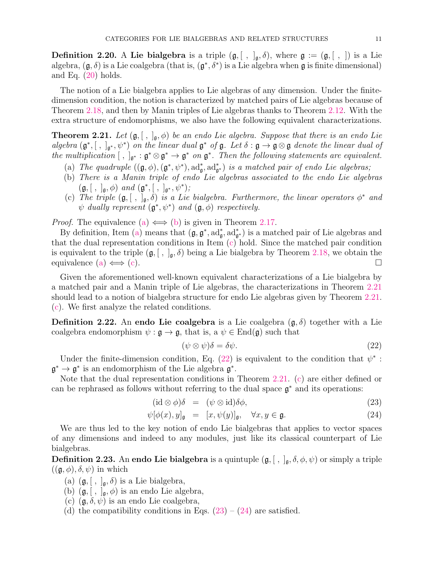**Definition 2.20.** A Lie bialgebra is a triple  $(\mathfrak{g}, [ , ]_{\mathfrak{g}}, \delta)$ , where  $\mathfrak{g} := (\mathfrak{g}, [ , ])$  is a Lie algebra,  $(\mathfrak{g}, \delta)$  is a Lie coalgebra (that is,  $(\mathfrak{g}^*, \delta^*)$  is a Lie algebra when  $\mathfrak{g}$  is finite dimensional) and Eq.  $(20)$  holds.

The notion of a Lie bialgebra applies to Lie algebras of any dimension. Under the finitedimension condition, the notion is characterized by matched pairs of Lie algebras because of Theorem 2.18, and then by Manin triples of Lie algebras thanks to Theorem 2.12. With the extra structure of endomorphisms, we also have the following equivalent characterizations.

**Theorem 2.21.** Let  $(\mathfrak{g}, [ , ]_{\mathfrak{g}}, \phi)$  be an endo Lie algebra. Suppose that there is an endo Lie  $algebra$   $(\mathfrak{g}^*,[~,~]_{\mathfrak{g}^*},\psi^*)$  *on the linear dual*  $\mathfrak{g}^*$  *of*  $\mathfrak{g}$ *. Let*  $\delta : \mathfrak{g} \to \mathfrak{g} \otimes \mathfrak{g}$  *denote the linear dual of the multiplication*  $[\,\, ,\,\,]_{\mathfrak{g}^*}: \mathfrak{g}^* \otimes \mathfrak{g}^* \to \mathfrak{g}^*$  *on*  $\mathfrak{g}^*$ *. Then the following statements are equivalent.* 

- (a) *The quadruple*  $((\mathfrak{g}, \phi), (\mathfrak{g}^*, \psi^*), \mathrm{ad}_{\mathfrak{g}}^*, \mathrm{ad}_{\mathfrak{g}}^*)$  *is a matched pair of endo Lie algebras;*
- (b) *There is a Manin triple of endo Lie algebras associated to the endo Lie algebras*  $(g, [ , ],_{g}, \phi)$  *and*  $(g^*, [ , ],_{g^*}, \psi^*)$ ;
- (c) The triple  $(g, [ , ]_g, \delta)$  *is a Lie bialgebra. Furthermore, the linear operators*  $\phi^*$  *and*  $\psi$  *dually represent*  $(\mathfrak{g}^*, \psi^*)$  *and*  $(\mathfrak{g}, \phi)$  *respectively.*

*Proof.* The equivalence (a)  $\iff$  (b) is given in Theorem 2.17.

By definition, Item (a) means that  $(\mathfrak{g}, \mathfrak{g}^*, \mathrm{ad}_{\mathfrak{g}}^*, \mathrm{ad}_{\mathfrak{g}^*}^*)$  is a matched pair of Lie algebras and that the dual representation conditions in Item (c) hold. Since the matched pair condition is equivalent to the triple  $(\mathfrak{g}, [ , ]_{\mathfrak{g}}, \delta)$  being a Lie bialgebra by Theorem 2.18, we obtain the equivalence (a)  $\iff$  (c).

Given the aforementioned well-known equivalent characterizations of a Lie bialgebra by a matched pair and a Manin triple of Lie algebras, the characterizations in Theorem 2.21 should lead to a notion of bialgebra structure for endo Lie algebras given by Theorem 2.21. (c). We first analyze the related conditions.

**Definition 2.22.** An endo Lie coalgebra is a Lie coalgebra  $(\mathfrak{g}, \delta)$  together with a Lie coalgebra endomorphism  $\psi : \mathfrak{g} \to \mathfrak{g}$ , that is,  $a \psi \in \text{End}(\mathfrak{g})$  such that

$$
(\psi \otimes \psi)\delta = \delta\psi. \tag{22}
$$

Under the finite-dimension condition, Eq.  $(22)$  is equivalent to the condition that  $\psi^*$ :  $\mathfrak{g}^* \to \mathfrak{g}^*$  is an endomorphism of the Lie algebra  $\mathfrak{g}^*$ .

Note that the dual representation conditions in Theorem 2.21. (c) are either defined or can be rephrased as follows without referring to the dual space  $\mathfrak{g}^*$  and its operations:

$$
(\mathrm{id}\otimes\phi)\delta = (\psi\otimes\mathrm{id})\delta\phi,\tag{23}
$$

$$
\psi[\phi(x), y]_{\mathfrak{g}} = [x, \psi(y)]_{\mathfrak{g}}, \quad \forall x, y \in \mathfrak{g}.
$$
\n(24)

We are thus led to the key notion of endo Lie bialgebras that applies to vector spaces of any dimensions and indeed to any modules, just like its classical counterpart of Lie bialgebras.

**Definition 2.23.** An endo Lie bialgebra is a quintuple  $(\mathfrak{g}, [ , ], \mathfrak{g}, \delta, \phi, \psi)$  or simply a triple  $((\mathfrak{g}, \phi), \delta, \psi)$  in which

- (a)  $(\mathfrak{g}, [ , ]_{\mathfrak{g}}, \delta)$  is a Lie bialgebra,
- (b)  $(\mathfrak{g}, [ , ]_{\mathfrak{g}}, \phi)$  is an endo Lie algebra,
- (c)  $(\mathfrak{g}, \delta, \psi)$  is an endo Lie coalgebra,
- (d) the compatibility conditions in Eqs.  $(23) (24)$  are satisfied.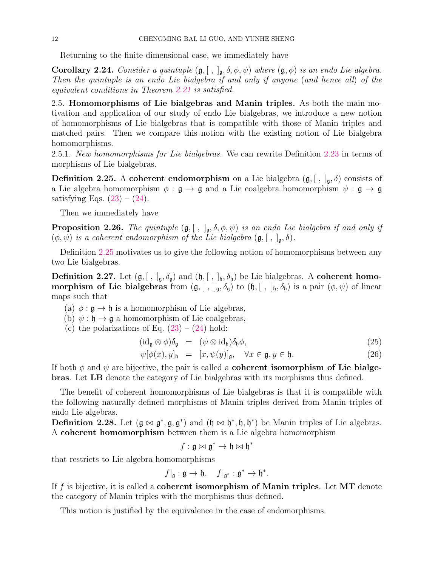Returning to the finite dimensional case, we immediately have

**Corollary 2.24.** *Consider a quintuple*  $(\mathfrak{g}, [ , ]_{\mathfrak{g}}, \delta, \phi, \psi)$  *where*  $(\mathfrak{g}, \phi)$  *is an endo Lie algebra. Then the quintuple is an endo Lie bialgebra if and only if anyone* (*and hence all*) *of the equivalent conditions in Theorem 2.21 is satisfied.*

2.5. Homomorphisms of Lie bialgebras and Manin triples. As both the main motivation and application of our study of endo Lie bialgebras, we introduce a new notion of homomorphisms of Lie bialgebras that is compatible with those of Manin triples and matched pairs. Then we compare this notion with the existing notion of Lie bialgebra homomorphisms.

2.5.1. *New homomorphisms for Lie bialgebras.* We can rewrite Definition 2.23 in terms of morphisms of Lie bialgebras.

**Definition 2.25.** A coherent endomorphism on a Lie bialgebra  $(\mathfrak{g}, |, |_{\mathfrak{g}}, \delta)$  consists of a Lie algebra homomorphism  $\phi : \mathfrak{g} \to \mathfrak{g}$  and a Lie coalgebra homomorphism  $\psi : \mathfrak{g} \to \mathfrak{g}$ satisfying Eqs.  $(23) - (24)$ .

Then we immediately have

**Proposition 2.26.** *The quintuple*  $(\mathfrak{g}, [ , ],_{\mathfrak{g}}, \delta, \phi, \psi)$  *is an endo Lie bialgebra if and only if*  $(\phi, \psi)$  *is a coherent endomorphism of the Lie bialgebra*  $(\mathfrak{g}, [ , ]_{\mathfrak{g}}, \delta)$ *.* 

Definition 2.25 motivates us to give the following notion of homomorphisms between any two Lie bialgebras.

**Definition 2.27.** Let  $(g, [ , ]_g, \delta_g)$  and  $(h, [ , ]_h, \delta_h)$  be Lie bialgebras. A coherent homo**morphism of Lie bialgebras** from  $(\mathfrak{g}, [ , ]_{\mathfrak{g}}, \delta_{\mathfrak{g}})$  to  $(\mathfrak{h}, [ , ]_{\mathfrak{h}}, \delta_{\mathfrak{h}})$  is a pair  $(\phi, \psi)$  of linear maps such that

- (a)  $\phi : \mathfrak{g} \to \mathfrak{h}$  is a homomorphism of Lie algebras,
- (b)  $\psi : \mathfrak{h} \to \mathfrak{g}$  a homomorphism of Lie coalgebras,
- (c) the polarizations of Eq.  $(23) (24)$  hold:

$$
(\mathrm{id}_{\mathfrak{g}} \otimes \phi) \delta_{\mathfrak{g}} = (\psi \otimes \mathrm{id}_{\mathfrak{h}}) \delta_{\mathfrak{h}} \phi, \tag{25}
$$

$$
\psi[\phi(x), y]_{\mathfrak{h}} = [x, \psi(y)]_{\mathfrak{g}}, \quad \forall x \in \mathfrak{g}, y \in \mathfrak{h}.
$$
 (26)

If both  $\phi$  and  $\psi$  are bijective, the pair is called a **coherent isomorphism of Lie bialge**bras. Let LB denote the category of Lie bialgebras with its morphisms thus defined.

The benefit of coherent homomorphisms of Lie bialgebras is that it is compatible with the following naturally defined morphisms of Manin triples derived from Manin triples of endo Lie algebras.

**Definition 2.28.** Let  $(g \bowtie g^*, g, g^*)$  and  $(h \bowtie h^*, h, h^*)$  be Manin triples of Lie algebras. A coherent homomorphism between them is a Lie algebra homomorphism

$$
f: \mathfrak{g} \bowtie \mathfrak{g}^* \to \mathfrak{h} \bowtie \mathfrak{h}^*
$$

that restricts to Lie algebra homomorphisms

$$
f|_{\mathfrak{g}} : \mathfrak{g} \to \mathfrak{h}, \quad f|_{\mathfrak{g}^*} : \mathfrak{g}^* \to \mathfrak{h}^*.
$$

If f is bijective, it is called a **coherent isomorphism of Manin triples**. Let  $MT$  denote the category of Manin triples with the morphisms thus defined.

This notion is justified by the equivalence in the case of endomorphisms.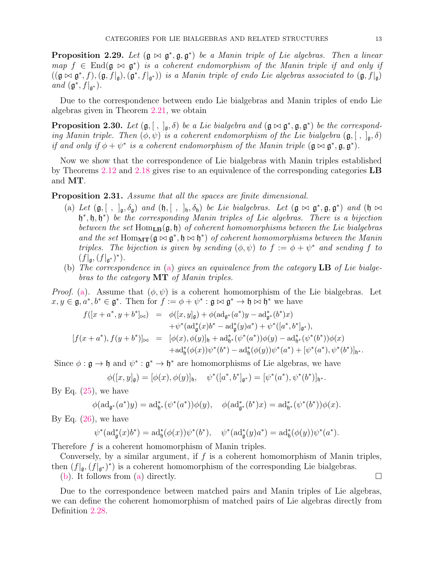**Proposition 2.29.** Let  $(\mathfrak{g} \bowtie \mathfrak{g}^*, \mathfrak{g}, \mathfrak{g}^*)$  be a Manin triple of Lie algebras. Then a linear  $map f \in End(\mathfrak{g} \bowtie \mathfrak{g}^*)$  *is a coherent endomorphism of the Manin triple if and only if*  $((\mathfrak{g} \bowtie \mathfrak{g}^*, f), (\mathfrak{g}, f|_{\mathfrak{g}}), (\mathfrak{g}^*, f|_{\mathfrak{g}^*}))$  *is a Manin triple of endo Lie algebras associated to*  $(\mathfrak{g}, f|_{\mathfrak{g}})$ *and*  $(\mathfrak{g}^*, f|_{\mathfrak{g}^*})$ *.* 

Due to the correspondence between endo Lie bialgebras and Manin triples of endo Lie algebras given in Theorem 2.21, we obtain

**Proposition 2.30.** Let  $(g, [ , ]_g, \delta)$  be a Lie bialgebra and  $(g \bowtie g^*, g, g^*)$  be the correspond*ing Manin triple. Then*  $(\phi, \psi)$  *is a coherent endomorphism of the Lie bialgebra*  $(\mathfrak{g}, [ \ , \ ]_{\mathfrak{g}}, \delta)$ *if and only if*  $\phi + \psi^*$  *is a coherent endomorphism of the Manin triple*  $(\mathfrak{g} \bowtie \mathfrak{g}^*, \mathfrak{g}, \mathfrak{g}^*)$ .

Now we show that the correspondence of Lie bialgebras with Manin triples established by Theorems 2.12 and 2.18 gives rise to an equivalence of the corresponding categories LB and MT.

Proposition 2.31. *Assume that all the spaces are finite dimensional.*

- (a) Let  $(\mathfrak{g}, [ , ],_{\mathfrak{g}}, \delta_{\mathfrak{g}})$  and  $(\mathfrak{h}, [ , ],_{\mathfrak{h}}, \delta_{\mathfrak{h}})$  *be Lie bialgebras. Let*  $(\mathfrak{g} \bowtie \mathfrak{g}^*, \mathfrak{g}, \mathfrak{g}^*)$  and  $(\mathfrak{h} \bowtie \mathfrak{h})$ h ∗ , h, h ∗ ) *be the corresponding Manin triples of Lie algebras. There is a bijection between the set* HomLB(g, h) *of coherent homomorphisms between the Lie bialgebras* and the set  $Hom_{\mathbf{MT}}(\mathfrak{g} \bowtie \mathfrak{g}^*, \mathfrak{h} \bowtie \mathfrak{h}^*)$  of coherent homomorphisms between the Manin *triples. The bijection is given by sending*  $(\phi, \psi)$  *to*  $f := \phi + \psi^*$  *and sending*  $f$  *to*  $(f|_{\mathfrak{g}}, (f|_{\mathfrak{g}^*})^*).$
- (b) *The correspondence in* (a) *gives an equivalence from the category* LB *of Lie bialgebras to the category* MT *of Manin triples.*

*Proof.* (a). Assume that  $(\phi, \psi)$  is a coherent homomorphism of the Lie bialgebras. Let  $x, y \in \mathfrak{g}, a^*, b^* \in \mathfrak{g}^*.$  Then for  $f := \phi + \psi^* : \mathfrak{g} \bowtie \mathfrak{g}^* \to \mathfrak{h} \bowtie \mathfrak{h}^*$  we have

$$
f([x + a^*, y + b^*]_{\bowtie}) = \phi([x, y]_{\mathfrak{g}}) + \phi(\mathrm{ad}_{\mathfrak{g}^*}(a^*)y - \mathrm{ad}_{\mathfrak{g}^*}^*(b^*)x)
$$
  

$$
+ \psi^*(\mathrm{ad}_{\mathfrak{g}}^*(x)b^* - \mathrm{ad}_{\mathfrak{g}}^*(y)a^*) + \psi^*([a^*, b^*]_{\mathfrak{g}^*}),
$$
  

$$
[f(x + a^*), f(y + b^*)]_{\bowtie} = [\phi(x), \phi(y)]_{\mathfrak{h}} + \mathrm{ad}_{\mathfrak{h}^*}^*(\psi^*(a^*))\phi(y) - \mathrm{ad}_{\mathfrak{h}^*}^*(\psi^*(b^*))\phi(x)
$$
  

$$
+ \mathrm{ad}_{\mathfrak{h}}^*(\phi(x))\psi^*(b^*) - \mathrm{ad}_{\mathfrak{h}}^*(\phi(y))\psi^*(a^*) + [\psi^*(a^*), \psi^*(b^*)]_{\mathfrak{h}^*}.
$$

Since  $\phi : \mathfrak{g} \to \mathfrak{h}$  and  $\psi^* : \mathfrak{g}^* \to \mathfrak{h}^*$  are homomorphisms of Lie algebras, we have

$$
\phi([x,y]_{\mathfrak{g}})=[\phi(x),\phi(y)]_{\mathfrak{h}},\quad \psi^*([a^*,b^*]_{\mathfrak{g}^*})=[\psi^*(a^*),\psi^*(b^*)]_{\mathfrak{h}^*}.
$$

By Eq.  $(25)$ , we have

$$
\phi(\mathrm{ad}_{\mathfrak{g}^*}(a^*)y)=\mathrm{ad}^*_{\mathfrak{h}^*}(\psi^*(a^*))\phi(y),\quad \phi(\mathrm{ad}^*_{\mathfrak{g}^*}(b^*)x)=\mathrm{ad}^*_{\mathfrak{h}^*}(\psi^*(b^*))\phi(x).
$$

By Eq.  $(26)$ , we have

$$
\psi^*({\rm ad}^*_\mathfrak{g}(x)b^*)={\rm ad}^*_\mathfrak{h}(\phi(x))\psi^*(b^*),\quad \psi^*({\rm ad}^*_\mathfrak{g}(y)a^*)={\rm ad}^*_\mathfrak{h}(\phi(y))\psi^*(a^*).
$$

Therefore f is a coherent homomorphism of Manin triples.

Conversely, by a similar argument, if  $f$  is a coherent homomorphism of Manin triples, then  $(f|_{\mathfrak{g}}, (f|_{\mathfrak{g}^*})^*)$  is a coherent homomorphism of the corresponding Lie bialgebras.

(b). It follows from (a) directly.  $\Box$ 

Due to the correspondence between matched pairs and Manin triples of Lie algebras, we can define the coherent homomorphism of matched pairs of Lie algebras directly from Definition 2.28.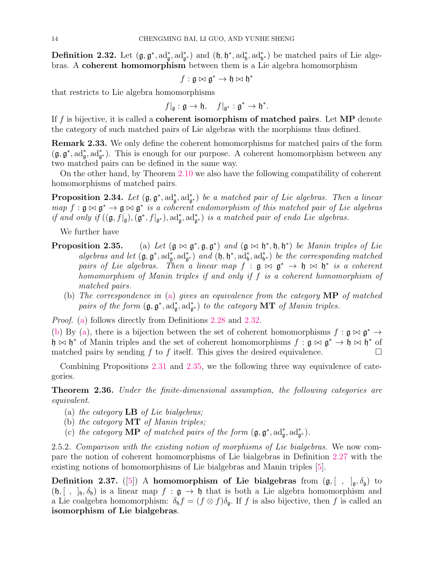**Definition 2.32.** Let  $(\mathfrak{g}, \mathfrak{g}^*, \mathrm{ad}_{\mathfrak{g}}^*, \mathrm{ad}_{\mathfrak{g}}^*)$  and  $(\mathfrak{h}, \mathfrak{h}^*, \mathrm{ad}_{\mathfrak{h}}^*, \mathrm{ad}_{\mathfrak{h}}^*)$  be matched pairs of Lie algebras. A coherent homomorphism between them is a Lie algebra homomorphism

$$
f: \mathfrak{g} \bowtie \mathfrak{g}^* \to \mathfrak{h} \bowtie \mathfrak{h}^*
$$

that restricts to Lie algebra homomorphisms

$$
f|_{\mathfrak{g}}:\mathfrak{g}\to \mathfrak{h},\quad f|_{\mathfrak{g}^*}:\mathfrak{g}^*\to \mathfrak{h}^*.
$$

If f is bijective, it is called a **coherent isomorphism of matched pairs**. Let  $\mathbf{MP}$  denote the category of such matched pairs of Lie algebras with the morphisms thus defined.

Remark 2.33. We only define the coherent homomorphisms for matched pairs of the form  $(\mathfrak{g}, \mathfrak{g}^*, \mathrm{ad}_{\mathfrak{g}}^*, \mathrm{ad}_{\mathfrak{g}^*}^*)$ . This is enough for our purpose. A coherent homomorphism between any two matched pairs can be defined in the same way.

On the other hand, by Theorem 2.10 we also have the following compatibility of coherent homomorphisms of matched pairs.

**Proposition 2.34.** Let  $(\mathfrak{g}, \mathfrak{g}^*, \mathrm{ad}_{\mathfrak{g}^*}^*)$  be a matched pair of Lie algebras. Then a linear  $map f : \mathfrak{g} \bowtie \mathfrak{g}^* \rightarrow \mathfrak{g} \bowtie \mathfrak{g}^*$  *is a coherent endomorphism of this matched pair of Lie algebras if and only if*  $((\mathfrak{g}, f|_{\mathfrak{g}}), (\mathfrak{g}^*, f|_{\mathfrak{g}^*})$ , ad<sub> $\mathfrak{g}^*$ </sub>, ad<sub> $\mathfrak{g}^*$ </sub>) *is a matched pair of endo Lie algebras.* 

We further have

- Proposition 2.35.  $*, \mathfrak{g}, \mathfrak{g}^*$  and  $(\mathfrak{g} \bowtie \mathfrak{h}^*, \mathfrak{h}, \mathfrak{h}^*)$  be Manin triples of Lie *algebras and let*  $(\mathfrak{g}, \mathfrak{g}^*, \mathrm{ad}_{\mathfrak{g}}^*, \mathrm{ad}_{\mathfrak{g}^*}^*)$  *and*  $(\mathfrak{h}, \mathfrak{h}^*, \mathrm{ad}_{\mathfrak{h}}^*, \mathrm{ad}_{\mathfrak{h}^*}^*)$  *be the corresponding matched pairs of Lie algebras.* Then a linear map  $f^{\prime}$ :  $g \bowtie g^* \rightarrow \mathfrak{h} \bowtie \mathfrak{h}^*$  is a coherent *homomorphism of Manin triples if and only if* f *is a coherent homomorphism of matched pairs.*
	- (b) *The correspondence in* (a) *gives an equivalence from the category* MP *of matched* pairs of the form  $(\mathfrak{g}, \mathfrak{g}^*, \mathrm{ad}_{\mathfrak{g}}^*, \mathrm{ad}_{\mathfrak{g}^*}^*)$  to the category **MT** of Manin triples.

*Proof.* (a) follows directly from Definitions 2.28 and 2.32.

(b) By (a), there is a bijection between the set of coherent homomorphisms  $f : \mathfrak{g} \bowtie \mathfrak{g}^* \to$ h  $\bowtie$  h<sup>\*</sup> of Manin triples and the set of coherent homomorphisms  $f : \mathfrak{g} \bowtie \mathfrak{g}^* \to \mathfrak{h} \bowtie \mathfrak{h}^*$  of matched pairs by sending f to f itself. This gives the desired equivalence.

Combining Propositions 2.31 and 2.35, we the following three way equivalence of categories.

Theorem 2.36. *Under the finite-dimensional assumption, the following categories are equivalent.*

- (a) *the category* LB *of Lie bialgebras;*
- (b) *the category* MT *of Manin triples;*
- (c) the category **MP** of matched pairs of the form  $(\mathfrak{g}, \mathfrak{g}^*, \mathrm{ad}_{\mathfrak{g}}^*, \mathrm{ad}_{\mathfrak{g}^*}^*)$ .

2.5.2. *Comparison with the existing notion of morphisms of Lie bialgebras.* We now compare the notion of coherent homomorphisms of Lie bialgebras in Definition 2.27 with the existing notions of homomorphisms of Lie bialgebras and Manin triples [5].

**Definition 2.37.** ([5]) A homomorphism of Lie bialgebras from  $(g, [ , ]_q, \delta_q)$  to  $(\mathfrak{h}, [ , ]_{\mathfrak{h}}, \delta_{\mathfrak{h}})$  is a linear map  $f : \mathfrak{g} \to \mathfrak{h}$  that is both a Lie algebra homomorphism and a Lie coalgebra homomorphism:  $\delta_{\rm h} f = (f \otimes f) \delta_{\rm a}$ . If f is also bijective, then f is called an isomorphism of Lie bialgebras.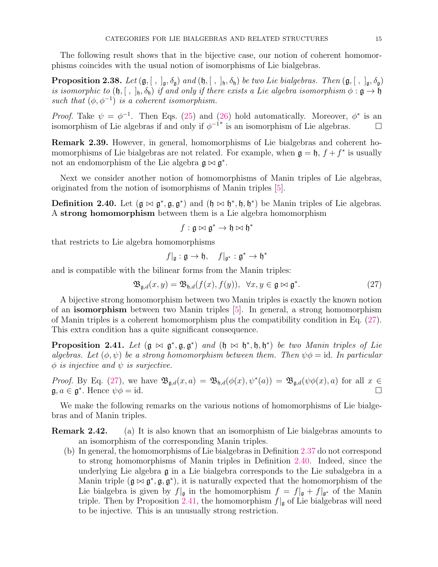The following result shows that in the bijective case, our notion of coherent homomorphisms coincides with the usual notion of isomorphisms of Lie bialgebras.

**Proposition 2.38.** *Let*  $(\mathfrak{g}, [ , ]_{\mathfrak{g}}, \delta_{\mathfrak{g}})$  *and*  $(\mathfrak{h}, [ , ]_{\mathfrak{h}}, \delta_{\mathfrak{h}})$  *be two Lie bialgebras. Then*  $(\mathfrak{g}, [ , ]_{\mathfrak{g}}, \delta_{\mathfrak{g}})$ *is isomorphic to*  $(\mathfrak{h}, [ , ]_{\mathfrak{h}}, \delta_{\mathfrak{h}})$  *if and only if there exists a Lie algebra isomorphism*  $\phi : \mathfrak{g} \to \mathfrak{h}$ *such that*  $(\phi, \phi^{-1})$  *is a coherent isomorphism.* 

*Proof.* Take  $\psi = \phi^{-1}$ . Then Eqs. (25) and (26) hold automatically. Moreover,  $\phi^*$  is an isomorphism of Lie algebras if and only if  $\phi^{-1*}$  is an isomorphism of Lie algebras.

Remark 2.39. However, in general, homomorphisms of Lie bialgebras and coherent homomorphisms of Lie bialgebras are not related. For example, when  $\mathfrak{g} = \mathfrak{h}$ ,  $f + f^*$  is usually not an endomorphism of the Lie algebra  $\mathfrak{g} \bowtie \mathfrak{g}^*$ .

Next we consider another notion of homomorphisms of Manin triples of Lie algebras, originated from the notion of isomorphisms of Manin triples [5].

**Definition 2.40.** Let  $(g \bowtie g^*, g, g^*)$  and  $(h \bowtie h^*, h, h^*)$  be Manin triples of Lie algebras. A strong homomorphism between them is a Lie algebra homomorphism

$$
f: \mathfrak{g}\bowtie \mathfrak{g}^*\to \mathfrak{h}\bowtie \mathfrak{h}^*
$$

that restricts to Lie algebra homomorphisms

$$
f|_{\mathfrak{g}} : \mathfrak{g} \to \mathfrak{h}, \quad f|_{\mathfrak{g}^*} : \mathfrak{g}^* \to \mathfrak{h}^*
$$

and is compatible with the bilinear forms from the Manin triples:

$$
\mathfrak{B}_{\mathfrak{g},d}(x,y) = \mathfrak{B}_{\mathfrak{h},d}(f(x),f(y)), \ \forall x,y \in \mathfrak{g} \bowtie \mathfrak{g}^*.
$$
 (27)

A bijective strong homomorphism between two Manin triples is exactly the known notion of an isomorphism between two Manin triples [5]. In general, a strong homomorphism of Manin triples is a coherent homomorphism plus the compatibility condition in Eq. (27). This extra condition has a quite significant consequence.

**Proposition 2.41.** Let  $(g \bowtie g^*, g, g^*)$  and  $(h \bowtie h^*, h, h^*)$  be two Manin triples of Lie *algebras. Let*  $(\phi, \psi)$  *be a strong homomorphism between them. Then*  $\psi \phi = id$ . In particular  $\phi$  *is injective and*  $\psi$  *is surjective.* 

*Proof.* By Eq. (27), we have  $\mathfrak{B}_{\mathfrak{g},d}(x,a) = \mathfrak{B}_{\mathfrak{h},d}(\phi(x),\psi^*(a)) = \mathfrak{B}_{\mathfrak{g},d}(\psi\phi(x),a)$  for all  $x \in$  $\mathfrak{g}, a \in \mathfrak{g}^*$ . Hence  $\psi \phi = id$ .

We make the following remarks on the various notions of homomorphisms of Lie bialgebras and of Manin triples.

- Remark 2.42. (a) It is also known that an isomorphism of Lie bialgebras amounts to an isomorphism of the corresponding Manin triples.
	- (b) In general, the homomorphisms of Lie bialgebras in Definition 2.37 do not correspond to strong homomorphisms of Manin triples in Definition 2.40. Indeed, since the underlying Lie algebra g in a Lie bialgebra corresponds to the Lie subalgebra in a Manin triple  $(\mathfrak{g} \bowtie \mathfrak{g}^*, \mathfrak{g}, \mathfrak{g}^*)$ , it is naturally expected that the homomorphism of the Lie bialgebra is given by  $f|_{\mathfrak{g}}$  in the homomorphism  $f = f|_{\mathfrak{g}} + f|_{\mathfrak{g}^*}$  of the Manin triple. Then by Proposition 2.41, the homomorphism  $f|_{\mathfrak{g}}$  of Lie bialgebras will need to be injective. This is an unusually strong restriction.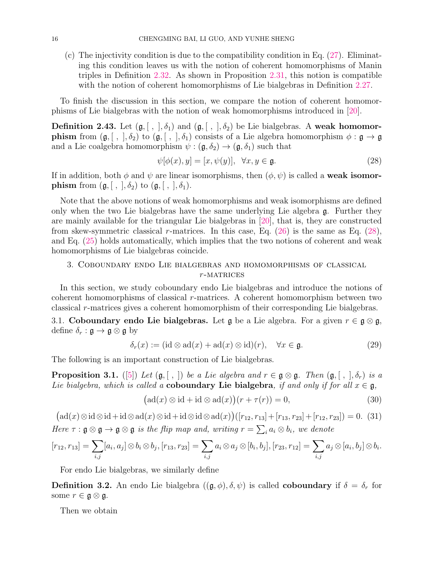(c) The injectivity condition is due to the compatibility condition in Eq. (27). Eliminating this condition leaves us with the notion of coherent homomorphisms of Manin triples in Definition 2.32. As shown in Proposition 2.31, this notion is compatible with the notion of coherent homomorphisms of Lie bialgebras in Definition 2.27.

To finish the discussion in this section, we compare the notion of coherent homomorphisms of Lie bialgebras with the notion of weak homomorphisms introduced in [20].

**Definition 2.43.** Let  $(\mathfrak{g}, [ , ], \delta_1)$  and  $(\mathfrak{g}, [ , ], \delta_2)$  be Lie bialgebras. A weak homomor**phism** from  $(\mathfrak{g}, [ , ], \delta_2)$  to  $(\mathfrak{g}, [ , ], \delta_1)$  consists of a Lie algebra homomorphism  $\phi : \mathfrak{g} \to \mathfrak{g}$ and a Lie coalgebra homomorphism  $\psi : (\mathfrak{g}, \delta_2) \to (\mathfrak{g}, \delta_1)$  such that

$$
\psi[\phi(x), y] = [x, \psi(y)], \quad \forall x, y \in \mathfrak{g}.\tag{28}
$$

If in addition, both  $\phi$  and  $\psi$  are linear isomorphisms, then  $(\phi, \psi)$  is called a **weak isomorphism** from  $(\mathfrak{g}, [ , ], \delta_2)$  to  $(\mathfrak{g}, [ , ], \delta_1)$ .

Note that the above notions of weak homomorphisms and weak isomorphisms are defined only when the two Lie bialgebras have the same underlying Lie algebra g. Further they are mainly available for the triangular Lie bialgebras in [20], that is, they are constructed from skew-symmetric classical r-matrices. In this case, Eq.  $(26)$  is the same as Eq.  $(28)$ , and Eq. (25) holds automatically, which implies that the two notions of coherent and weak homomorphisms of Lie bialgebras coincide.

## 3. Coboundary endo Lie bialgebras and homomorphisms of classical  $r$ -MATRICES

In this section, we study coboundary endo Lie bialgebras and introduce the notions of coherent homomorphisms of classical r-matrices. A coherent homomorphism between two classical r-matrices gives a coherent homomorphism of their corresponding Lie bialgebras.

3.1. Coboundary endo Lie bialgebras. Let  $\mathfrak g$  be a Lie algebra. For a given  $r \in \mathfrak g \otimes \mathfrak g$ , define  $\delta_r : \mathfrak{g} \to \mathfrak{g} \otimes \mathfrak{g}$  by

$$
\delta_r(x) := (\mathrm{id} \otimes \mathrm{ad}(x) + \mathrm{ad}(x) \otimes \mathrm{id})(r), \quad \forall x \in \mathfrak{g}.\tag{29}
$$

The following is an important construction of Lie bialgebras.

**Proposition 3.1.** ([5]) *Let*  $(g, \lceil, \rceil)$  *be a Lie algebra and*  $r \in g \otimes g$ *. Then*  $(g, \lceil, \rceil, \delta_r)$  *is a Lie bialgebra, which is called a* coboundary Lie bialgebra, if and only if for all  $x \in \mathfrak{g}$ ,

$$
(\mathrm{ad}(x)\otimes \mathrm{id} + \mathrm{id}\otimes \mathrm{ad}(x))(r + \tau(r)) = 0,
$$
\n(30)

 $\left(\mathrm{ad}(x)\otimes\mathrm{id}\otimes\mathrm{id}+\mathrm{id}\otimes\mathrm{ad}(x)\otimes\mathrm{id}+\mathrm{id}\otimes\mathrm{id}\otimes\mathrm{ad}(x)\right)\left(\left[r_{12},r_{13}\right]+\left[r_{13},r_{23}\right]+\left[r_{12},r_{23}\right]\right)=0.$  (31) *Here*  $\tau : \mathfrak{g} \otimes \mathfrak{g} \to \mathfrak{g} \otimes \mathfrak{g}$  *is the flip map and, writing*  $r = \sum_i a_i \otimes b_i$ *, we denote* 

$$
[r_{12}, r_{13}] = \sum_{i,j} [a_i, a_j] \otimes b_i \otimes b_j, [r_{13}, r_{23}] = \sum_{i,j} a_i \otimes a_j \otimes [b_i, b_j], [r_{23}, r_{12}] = \sum_{i,j} a_j \otimes [a_i, b_j] \otimes b_i.
$$

For endo Lie bialgebras, we similarly define

**Definition 3.2.** An endo Lie bialgebra  $((\mathfrak{g}, \phi), \delta, \psi)$  is called **coboundary** if  $\delta = \delta_r$  for some  $r \in \mathfrak{g} \otimes \mathfrak{g}$ .

Then we obtain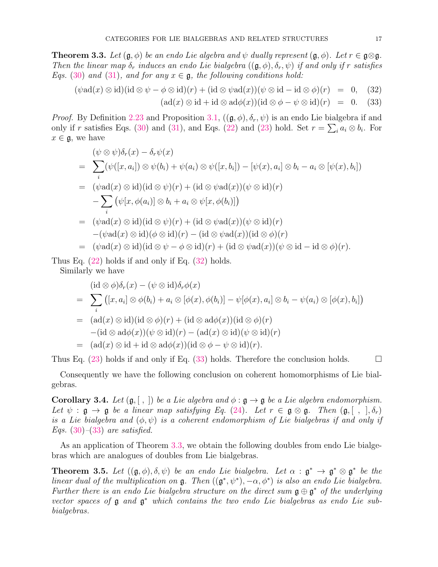**Theorem 3.3.** Let  $(g, \phi)$  be an endo Lie algebra and  $\psi$  dually represent  $(g, \phi)$ . Let  $r \in g \otimes g$ . *Then the linear map*  $\delta_r$  *induces an endo Lie bialgebra*  $((\mathfrak{g}, \phi), \delta_r, \psi)$  *if and only if* r *satisfies Eqs.* (30) and (31), and for any  $x \in \mathfrak{g}$ , the following conditions hold:

$$
(\psi \text{ad}(x) \otimes \text{id})(\text{id} \otimes \psi - \phi \otimes \text{id})(r) + (\text{id} \otimes \psi \text{ad}(x))(\psi \otimes \text{id} - \text{id} \otimes \phi)(r) = 0, \quad (32)
$$

 $(\text{ad}(x) \otimes \text{id} + \text{id} \otimes \text{ad}\phi(x))(\text{id} \otimes \phi - \psi \otimes \text{id})(r) = 0.$  (33)

*Proof.* By Definition 2.23 and Proposition 3.1,  $((\mathfrak{g}, \phi), \delta_r, \psi)$  is an endo Lie bialgebra if and only if r satisfies Eqs. (30) and (31), and Eqs. (22) and (23) hold. Set  $r = \sum_i a_i \otimes b_i$ . For  $x \in \mathfrak{g}$ , we have

$$
(\psi \otimes \psi)\delta_r(x) - \delta_r \psi(x)
$$
\n
$$
= \sum_i (\psi([x, a_i]) \otimes \psi(b_i) + \psi(a_i) \otimes \psi([x, b_i]) - [\psi(x), a_i] \otimes b_i - a_i \otimes [\psi(x), b_i])
$$
\n
$$
= (\psi \text{ad}(x) \otimes \text{id})(\text{id} \otimes \psi)(r) + (\text{id} \otimes \psi \text{ad}(x))(\psi \otimes \text{id})(r)
$$
\n
$$
- \sum_i (\psi[x, \phi(a_i)] \otimes b_i + a_i \otimes \psi[x, \phi(b_i)])
$$
\n
$$
= (\psi \text{ad}(x) \otimes \text{id})(\text{id} \otimes \psi)(r) + (\text{id} \otimes \psi \text{ad}(x))(\psi \otimes \text{id})(r)
$$
\n
$$
- (\psi \text{ad}(x) \otimes \text{id})(\phi \otimes \text{id})(r) - (\text{id} \otimes \psi \text{ad}(x))(\text{id} \otimes \phi)(r)
$$
\n
$$
= (\psi \text{ad}(x) \otimes \text{id})(\text{id} \otimes \psi - \phi \otimes \text{id})(r) + (\text{id} \otimes \psi \text{ad}(x))(\psi \otimes \text{id} - \text{id} \otimes \phi)(r).
$$

Thus Eq. (22) holds if and only if Eq. (32) holds.

Similarly we have

$$
(\mathrm{id}\otimes\phi)\delta_r(x) - (\psi\otimes\mathrm{id})\delta_r\phi(x)
$$
  
= 
$$
\sum_i ([x, a_i] \otimes \phi(b_i) + a_i \otimes [\phi(x), \phi(b_i)] - \psi[\phi(x), a_i] \otimes b_i - \psi(a_i) \otimes [\phi(x), b_i])
$$
  
= 
$$
(\mathrm{ad}(x)\otimes\mathrm{id})(\mathrm{id}\otimes\phi)(r) + (\mathrm{id}\otimes\mathrm{ad}\phi(x))(\mathrm{id}\otimes\phi)(r)
$$
  

$$
-(\mathrm{id}\otimes\mathrm{ad}\phi(x))(\psi\otimes\mathrm{id})(r) - (\mathrm{ad}(x)\otimes\mathrm{id})(\psi\otimes\mathrm{id})(r)
$$
  
= 
$$
(\mathrm{ad}(x)\otimes\mathrm{id} + \mathrm{id}\otimes\mathrm{ad}\phi(x))(\mathrm{id}\otimes\phi - \psi\otimes\mathrm{id})(r).
$$

Thus Eq.  $(23)$  holds if and only if Eq.  $(33)$  holds. Therefore the conclusion holds.

Consequently we have the following conclusion on coherent homomorphisms of Lie bialgebras.

**Corollary 3.4.** *Let*  $(\mathfrak{g}, \vert \, , \, \vert)$  *be a Lie algebra and*  $\phi : \mathfrak{g} \to \mathfrak{g}$  *be a Lie algebra endomorphism. Let*  $\psi$  :  $\mathfrak{g} \to \mathfrak{g}$  *be a linear map satisfying Eq.* (24)*. Let*  $r \in \mathfrak{g} \otimes \mathfrak{g}$ *. Then*  $(\mathfrak{g}, [ \ , \ ], \delta_r)$ *is a Lie bialgebra and*  $(\phi, \psi)$  *is a coherent endomorphism of Lie bialgebras if and only if Eqs.* (30)*–*(33) *are satisfied.*

As an application of Theorem 3.3, we obtain the following doubles from endo Lie bialgebras which are analogues of doubles from Lie bialgebras.

**Theorem 3.5.** Let  $((\mathfrak{g}, \phi), \delta, \psi)$  be an endo Lie bialgebra. Let  $\alpha : \mathfrak{g}^* \to \mathfrak{g}^* \otimes \mathfrak{g}^*$  be the *linear dual of the multiplication on*  $\mathfrak{g}$ . Then  $((\mathfrak{g}^*, \psi^*), -\alpha, \phi^*)$  *is also an endo Lie bialgebra. Further there is an endo Lie bialgebra structure on the direct sum*  $\mathfrak{g} \oplus \mathfrak{g}^*$  of the underlying *vector spaces of* g *and* g <sup>∗</sup> *which contains the two endo Lie bialgebras as endo Lie subbialgebras.*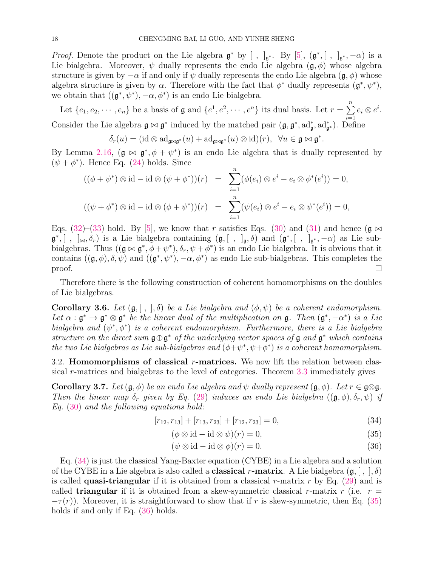*Proof.* Denote the product on the Lie algebra  $\mathfrak{g}^*$  by [,  $]_{\mathfrak{g}^*}$ . By [5],  $(\mathfrak{g}^*,[ , ]_{\mathfrak{g}^*},-\alpha)$  is a Lie bialgebra. Moreover,  $\psi$  dually represents the endo Lie algebra  $(\mathfrak{g}, \phi)$  whose algebra structure is given by  $-\alpha$  if and only if  $\psi$  dually represents the endo Lie algebra  $(\mathfrak{g}, \phi)$  whose algebra structure is given by  $\alpha$ . Therefore with the fact that  $\phi^*$  dually represents  $(\mathfrak{g}^*, \psi^*),$ we obtain that  $((\mathfrak{g}^*, \psi^*), -\alpha, \phi^*)$  is an endo Lie bialgebra.

Let  $\{e_1, e_2, \dots, e_n\}$  be a basis of  $\mathfrak g$  and  $\{e^1, e^2, \dots, e^n\}$  its dual basis. Let  $r = \sum^n$  $i=1$  $e_i\otimes e^i.$ Consider the Lie algebra  $\mathfrak{g} \bowtie \mathfrak{g}^*$  induced by the matched pair  $(\mathfrak{g}, \mathfrak{g}^*, \mathrm{ad}_{\mathfrak{g}}^*, \mathrm{ad}_{\mathfrak{g}^*}^*)$ . Define

 $\delta_r(u) = (\mathrm{id} \otimes \mathrm{ad}_{\mathfrak{g} \bowtie \mathfrak{g}^*}(u) + \mathrm{ad}_{\mathfrak{g} \bowtie \mathfrak{g}^*}(u) \otimes \mathrm{id})(r), \ \ \forall u \in \mathfrak{g} \bowtie \mathfrak{g}^*.$ 

By Lemma 2.16,  $(g \bowtie g^*, \phi + \psi^*)$  is an endo Lie algebra that is dually represented by  $(\psi + \phi^*)$ . Hence Eq. (24) holds. Since

$$
((\phi + \psi^*) \otimes id - id \otimes (\psi + \phi^*)) (r) = \sum_{i=1}^n (\phi(e_i) \otimes e^i - e_i \otimes \phi^*(e^i)) = 0,
$$
  

$$
((\psi + \phi^*) \otimes id - id \otimes (\phi + \psi^*)) (r) = \sum_{i=1}^n (\psi(e_i) \otimes e^i - e_i \otimes \psi^*(e^i)) = 0,
$$

Eqs. (32)–(33) hold. By [5], we know that r satisfies Eqs. (30) and (31) and hence ( $\mathfrak{g} \bowtie$  $\mathfrak{g}^*,$  [,  $]_{\bowtie}, \delta_r$ ) is a Lie bialgebra containing  $(\mathfrak{g}, [ , ]_{\mathfrak{g}}, \delta)$  and  $(\mathfrak{g}^*, [ , ]_{\mathfrak{g}^*}, -\alpha)$  as Lie subbialgebras. Thus  $((\mathfrak{g} \bowtie \mathfrak{g}^*, \phi + \psi^*), \delta_r, \psi + \phi^*)$  is an endo Lie bialgebra. It is obvious that it contains  $((\mathfrak{g}, \phi), \delta, \psi)$  and  $((\mathfrak{g}^*, \psi^*), -\alpha, \phi^*)$  as endo Lie sub-bialgebras. This completes the proof.  $\Box$ 

Therefore there is the following construction of coherent homomorphisms on the doubles of Lie bialgebras.

Corollary 3.6. Let  $(\mathfrak{g}, [ , ], \delta)$  be a Lie bialgebra and  $(\phi, \psi)$  be a coherent endomorphism. Let  $\alpha : \mathfrak{g}^* \to \mathfrak{g}^* \otimes \mathfrak{g}^*$  *be the linear dual of the multiplication on*  $\mathfrak{g}$ . Then  $(\mathfrak{g}^*, -\alpha^*)$  *is a Lie* bialgebra and  $(\psi^*, \phi^*)$  is a coherent endomorphism. Furthermore, there is a Lie bialgebra *structure on the direct sum* g⊕g <sup>∗</sup> *of the underlying vector spaces of* g *and* g <sup>∗</sup> *which contains the two Lie bialgebras as Lie sub-bialgebras and*  $(\phi + \psi^*, \psi + \phi^*)$  *is a coherent homomorphism.* 

3.2. **Homomorphisms of classical**  $r$ **-matrices.** We now lift the relation between classical r-matrices and bialgebras to the level of categories. Theorem 3.3 immediately gives

Corollary 3.7. Let  $(\mathfrak{g}, \phi)$  *be an endo Lie algebra and*  $\psi$  *dually represent*  $(\mathfrak{g}, \phi)$ *. Let*  $r \in \mathfrak{g} \otimes \mathfrak{g}$ *. Then the linear map*  $\delta_r$  *given by Eq.* (29) *induces an endo Lie bialgebra*  $((\mathfrak{g}, \phi), \delta_r, \psi)$  *if Eq.* (30) *and the following equations hold:*

$$
[r_{12}, r_{13}] + [r_{13}, r_{23}] + [r_{12}, r_{23}] = 0,\t\t(34)
$$

$$
(\phi \otimes id - id \otimes \psi)(r) = 0,\t\t(35)
$$

$$
(\psi \otimes id - id \otimes \phi)(r) = 0.
$$
\n(36)

Eq. (34) is just the classical Yang-Baxter equation (CYBE) in a Lie algebra and a solution of the CYBE in a Lie algebra is also called a **classical r-matrix**. A Lie bialgebra  $(\mathfrak{g}, [ , ], \delta)$ is called **quasi-triangular** if it is obtained from a classical r-matrix r by Eq.  $(29)$  and is called **triangular** if it is obtained from a skew-symmetric classical r-matrix r (i.e.  $r =$  $-\tau(r)$ ). Moreover, it is straightforward to show that if r is skew-symmetric, then Eq. (35) holds if and only if Eq.  $(36)$  holds.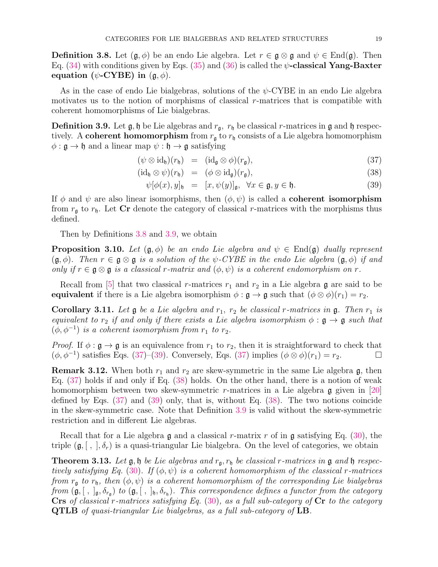**Definition 3.8.** Let  $(\mathfrak{g}, \phi)$  be an endo Lie algebra. Let  $r \in \mathfrak{g} \otimes \mathfrak{g}$  and  $\psi \in \text{End}(\mathfrak{g})$ . Then Eq. (34) with conditions given by Eqs. (35) and (36) is called the  $\psi$ -classical Yang-Baxter equation ( $\psi$ -CYBE) in  $(\mathfrak{g}, \phi)$ .

As in the case of endo Lie bialgebras, solutions of the  $\psi$ -CYBE in an endo Lie algebra motivates us to the notion of morphisms of classical r-matrices that is compatible with coherent homomorphisms of Lie bialgebras.

**Definition 3.9.** Let  $\mathfrak{g}, \mathfrak{h}$  be Lie algebras and  $r_{\mathfrak{g}}, r_{\mathfrak{h}}$  be classical r-matrices in  $\mathfrak{g}$  and  $\mathfrak{h}$  respectively. A coherent homomorphism from  $r_{\rm g}$  to  $r_{\rm h}$  consists of a Lie algebra homomorphism  $\phi : \mathfrak{g} \to \mathfrak{h}$  and a linear map  $\psi : \mathfrak{h} \to \mathfrak{g}$  satisfying

$$
(\psi \otimes id_{\mathfrak{h}})(r_{\mathfrak{h}}) = (id_{\mathfrak{g}} \otimes \phi)(r_{\mathfrak{g}}), \qquad (37)
$$

$$
(\mathrm{id}_{\mathfrak{h}} \otimes \psi)(r_{\mathfrak{h}}) = (\phi \otimes \mathrm{id}_{\mathfrak{g}})(r_{\mathfrak{g}}), \qquad (38)
$$

$$
\psi[\phi(x), y]_{\mathfrak{h}} = [x, \psi(y)]_{\mathfrak{g}}, \ \forall x \in \mathfrak{g}, y \in \mathfrak{h}. \tag{39}
$$

If  $\phi$  and  $\psi$  are also linear isomorphisms, then  $(\phi, \psi)$  is called a **coherent isomorphism** from  $r_{\rm g}$  to  $r_{\rm h}$ . Let Cr denote the category of classical r-matrices with the morphisms thus defined.

Then by Definitions 3.8 and 3.9, we obtain

**Proposition 3.10.** Let  $(\mathfrak{g}, \phi)$  be an endo Lie algebra and  $\psi \in \text{End}(\mathfrak{g})$  dually represent  $(\mathfrak{g}, \phi)$ *. Then*  $r \in \mathfrak{g} \otimes \mathfrak{g}$  *is a solution of the*  $\psi$ -CYBE *in the endo Lie algebra*  $(\mathfrak{g}, \phi)$  *if and only if*  $r \in \mathfrak{g} \otimes \mathfrak{g}$  *is a classical* r-matrix and  $(\phi, \psi)$  *is a coherent endomorphism on* r.

Recall from [5] that two classical r-matrices  $r_1$  and  $r_2$  in a Lie algebra g are said to be equivalent if there is a Lie algebra isomorphism  $\phi : \mathfrak{g} \to \mathfrak{g}$  such that  $(\phi \otimes \phi)(r_1) = r_2$ .

**Corollary 3.11.** Let  $\mathfrak g$  be a Lie algebra and  $r_1$ ,  $r_2$  be classical r-matrices in  $\mathfrak g$ . Then  $r_1$  is *equivalent to*  $r_2$  *if and only if there exists a Lie algebra isomorphism*  $\phi : \mathfrak{g} \to \mathfrak{g}$  *such that*  $(\phi, \phi^{-1})$  *is a coherent isomorphism from*  $r_1$  *to*  $r_2$ *.* 

*Proof.* If  $\phi : \mathfrak{g} \to \mathfrak{g}$  is an equivalence from  $r_1$  to  $r_2$ , then it is straightforward to check that  $(\phi, \phi^{-1})$  satisfies Eqs. (37)–(39). Conversely, Eqs. (37) implies  $(\phi \otimes \phi)(r_1) = r_2$ .

**Remark 3.12.** When both  $r_1$  and  $r_2$  are skew-symmetric in the same Lie algebra g, then Eq. (37) holds if and only if Eq. (38) holds. On the other hand, there is a notion of weak homomorphism between two skew-symmetric r-matrices in a Lie algebra  $\mathfrak g$  given in [20] defined by Eqs. (37) and (39) only, that is, without Eq. (38). The two notions coincide in the skew-symmetric case. Note that Definition 3.9 is valid without the skew-symmetric restriction and in different Lie algebras.

Recall that for a Lie algebra  $\mathfrak g$  and a classical r-matrix r of in  $\mathfrak g$  satisfying Eq. (30), the triple  $(\mathfrak{g}, [ , ], \delta_r)$  is a quasi-triangular Lie bialgebra. On the level of categories, we obtain

**Theorem 3.13.** Let  $\mathfrak{g}, \mathfrak{h}$  be Lie algebras and  $r_{\mathfrak{g}}, r_{\mathfrak{h}}$  be classical r-matrices in  $\mathfrak{g}$  and  $\mathfrak{h}$  respec*tively satisfying Eq.* (30). If  $(\phi, \psi)$  *is a coherent homomorphism of the classical* r-matrices *from*  $r_{\rm g}$  *to*  $r_{\rm h}$ *, then*  $(\phi, \psi)$  *is a coherent homomorphism of the corresponding Lie bialgebras*  $from \, (\mathfrak{g},[~,~]_{\mathfrak{g}},\delta_{r_{\mathfrak{g}}})$  *to*  $(\mathfrak{g},[~,~]_{\mathfrak{h}},\delta_{r_{\mathfrak{h}}})$ *. This correspondence defines a functor from the category* Crs *of classical* r*-matrices satisfying Eq.* (30)*, as a full sub-category of* Cr *to the category* QTLB *of quasi-triangular Lie bialgebras, as a full sub-category of* LB*.*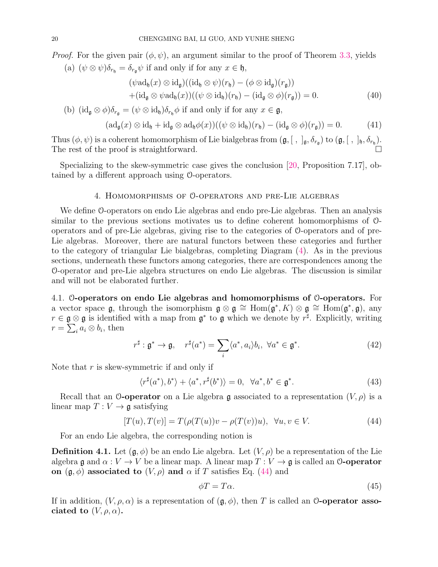*Proof.* For the given pair  $(\phi, \psi)$ , an argument similar to the proof of Theorem 3.3, yields

(a)  $(\psi \otimes \psi)\delta_{r_{\mathfrak{h}}} = \delta_{r_{\mathfrak{g}}} \psi$  if and only if for any  $x \in \mathfrak{h}$ ,

$$
(\psi \mathrm{ad}_{\mathfrak{h}}(x) \otimes \mathrm{id}_{\mathfrak{g}})((\mathrm{id}_{\mathfrak{h}} \otimes \psi)(r_{\mathfrak{h}}) - (\phi \otimes \mathrm{id}_{\mathfrak{g}})(r_{\mathfrak{g}}))
$$
  
+( $\mathrm{id}_{\mathfrak{g}} \otimes \psi \mathrm{ad}_{\mathfrak{h}}(x)((\psi \otimes \mathrm{id}_{\mathfrak{h}})(r_{\mathfrak{h}}) - (\mathrm{id}_{\mathfrak{g}} \otimes \phi)(r_{\mathfrak{g}})) = 0.$  (40)

(b) 
$$
(id_{\mathfrak{g}} \otimes \phi)\delta_{r_{\mathfrak{g}}} = (\psi \otimes id_{\mathfrak{h}})\delta_{r_{\mathfrak{h}}} \phi
$$
 if and only if for any  $x \in \mathfrak{g}$ ,

$$
(\mathrm{ad}_{\mathfrak{g}}(x)\otimes \mathrm{id}_{\mathfrak{h}} + \mathrm{id}_{\mathfrak{g}}\otimes \mathrm{ad}_{\mathfrak{h}}\phi(x))((\psi\otimes \mathrm{id}_{\mathfrak{h}})(r_{\mathfrak{h}}) - (\mathrm{id}_{\mathfrak{g}}\otimes \phi)(r_{\mathfrak{g}})) = 0. \tag{41}
$$

Thus  $(\phi, \psi)$  is a coherent homomorphism of Lie bialgebras from  $(\mathfrak{g}, [ , ]_{\mathfrak{g}}, \delta_{r_{\mathfrak{g}}})$  to  $(\mathfrak{g}, [ , ]_{\mathfrak{h}}, \delta_{r_{\mathfrak{h}}})$ . The rest of the proof is straightforward.

Specializing to the skew-symmetric case gives the conclusion [20, Proposition 7.17], obtained by a different approach using O-operators.

## 4. Homomorphisms of O-operators and pre-Lie algebras

We define O-operators on endo Lie algebras and endo pre-Lie algebras. Then an analysis similar to the previous sections motivates us to define coherent homomorphisms of Ooperators and of pre-Lie algebras, giving rise to the categories of O-operators and of pre-Lie algebras. Moreover, there are natural functors between these categories and further to the category of triangular Lie bialgebras, completing Diagram (4). As in the previous sections, underneath these functors among categories, there are correspondences among the O-operator and pre-Lie algebra structures on endo Lie algebras. The discussion is similar and will not be elaborated further.

4.1. O-operators on endo Lie algebras and homomorphisms of O-operators. For a vector space  $\mathfrak{g}$ , through the isomorphism  $\mathfrak{g} \otimes \mathfrak{g} \cong \text{Hom}(\mathfrak{g}^*, K) \otimes \mathfrak{g} \cong \text{Hom}(\mathfrak{g}^*, \mathfrak{g})$ , any  $r \in \mathfrak{g} \otimes \mathfrak{g}$  is identified with a map from  $\mathfrak{g}^*$  to  $\mathfrak{g}$  which we denote by  $r^{\sharp}$ . Explicitly, writing  $r = \sum_{i}^{\infty} a_i \otimes b_i$ , then

$$
r^{\sharp}: \mathfrak{g}^* \to \mathfrak{g}, \quad r^{\sharp}(a^*) = \sum_{i} \langle a^*, a_i \rangle b_i, \ \forall a^* \in \mathfrak{g}^*.
$$
 (42)

Note that  $r$  is skew-symmetric if and only if

$$
\langle r^{\sharp}(a^*), b^*\rangle + \langle a^*, r^{\sharp}(b^*)\rangle = 0, \quad \forall a^*, b^* \in \mathfrak{g}^*.
$$
 (43)

Recall that an O-operator on a Lie algebra g associated to a representation  $(V, \rho)$  is a linear map  $T: V \to \mathfrak{g}$  satisfying

$$
[T(u), T(v)] = T(\rho(T(u))v - \rho(T(v))u), \quad \forall u, v \in V.
$$
\n
$$
(44)
$$

For an endo Lie algebra, the corresponding notion is

**Definition 4.1.** Let  $(\mathfrak{g}, \phi)$  be an endo Lie algebra. Let  $(V, \rho)$  be a representation of the Lie algebra g and  $\alpha: V \to V$  be a linear map. A linear map  $T: V \to \mathfrak{g}$  is called an O-operator on  $(\mathfrak{g}, \phi)$  associated to  $(V, \rho)$  and  $\alpha$  if T satisfies Eq. (44) and

$$
\phi T = T\alpha. \tag{45}
$$

If in addition,  $(V, \rho, \alpha)$  is a representation of  $(\mathfrak{g}, \phi)$ , then T is called an O-operator associated to  $(V, \rho, \alpha)$ .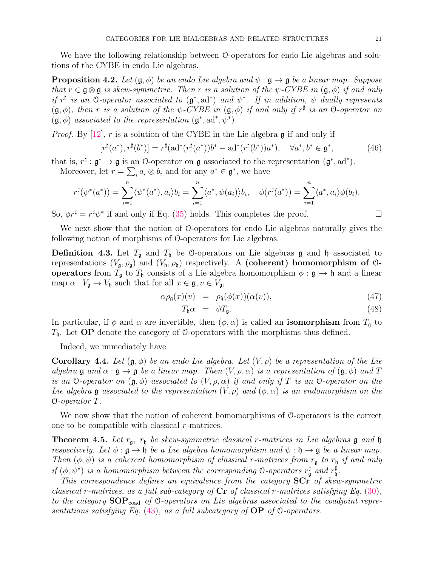We have the following relationship between O-operators for endo Lie algebras and solutions of the CYBE in endo Lie algebras.

**Proposition 4.2.** *Let*  $(\mathfrak{g}, \phi)$  *be an endo Lie algebra and*  $\psi : \mathfrak{g} \to \mathfrak{g}$  *be a linear map. Suppose that*  $r \in \mathfrak{g} \otimes \mathfrak{g}$  *is skew-symmetric. Then* r *is a solution of the*  $\psi$ -CYBE *in*  $(\mathfrak{g}, \phi)$  *if and only if*  $r^{\sharp}$  *is an* O-operator associated to  $(g^*, ad^*)$  and  $\psi^*$ . If in addition,  $\psi$  dually represents  $(\mathfrak{g}, \phi)$ , then r is a solution of the  $\psi$ -CYBE in  $(\mathfrak{g}, \phi)$  if and only if  $r^{\sharp}$  is an O-operator on  $(\mathfrak{g}, \phi)$  *associated to the representation*  $(\mathfrak{g}^*, \mathrm{ad}^*, \psi^*)$ .

*Proof.* By [12], r is a solution of the CYBE in the Lie algebra  $\mathfrak g$  if and only if

$$
[r^{\sharp}(a^*), r^{\sharp}(b^*)] = r^{\sharp}(\text{ad}^*(r^{\sharp}(a^*))b^* - \text{ad}^*(r^{\sharp}(b^*))a^*), \quad \forall a^*, b^* \in \mathfrak{g}^*,\tag{46}
$$

that is,  $r^{\sharp}: \mathfrak{g}^* \to \mathfrak{g}$  is an O-operator on  $\mathfrak{g}$  associated to the representation  $(\mathfrak{g}^*, \mathrm{ad}^*)$ . Moreover, let  $r = \sum_i a_i \otimes b_i$  and for any  $a^* \in \mathfrak{g}^*$ , we have

$$
r^{\sharp}(\psi^*(a^*)) = \sum_{i=1}^n \langle \psi^*(a^*), a_i \rangle b_i = \sum_{i=1}^n \langle a^*, \psi(a_i) \rangle b_i, \quad \phi(r^{\sharp}(a^*)) = \sum_{i=1}^n \langle a^*, a_i \rangle \phi(b_i).
$$

So,  $\phi r^{\sharp} = r^{\sharp} \psi^*$  if and only if Eq. (35) holds. This completes the proof.

We next show that the notion of O-operators for endo Lie algebras naturally gives the following notion of morphisms of O-operators for Lie algebras.

**Definition 4.3.** Let  $T_{\mathfrak{g}}$  and  $T_{\mathfrak{h}}$  be 0-operators on Lie algebras g and h associated to representations  $(V_{\mathfrak{g}}, \rho_{\mathfrak{g}})$  and  $(V_{\mathfrak{h}}, \rho_{\mathfrak{h}})$  respectively. A (coherent) homomorphism of 0**operators** from  $T_{\mathfrak{g}}$  to  $T_{\mathfrak{h}}$  consists of a Lie algebra homomorphism  $\phi : \mathfrak{g} \to \mathfrak{h}$  and a linear map  $\alpha: V_{\mathfrak{g}} \to V_{\mathfrak{h}}$  such that for all  $x \in \mathfrak{g}, v \in V_{\mathfrak{g}},$ 

$$
\alpha \rho_{\mathfrak{g}}(x)(v) = \rho_{\mathfrak{h}}(\phi(x))(\alpha(v)), \qquad (47)
$$

$$
T_{\mathfrak{h}}\alpha = \phi T_{\mathfrak{g}}.\tag{48}
$$

In particular, if  $\phi$  and  $\alpha$  are invertible, then  $(\phi, \alpha)$  is called an **isomorphism** from  $T_{\mathfrak{g}}$  to  $T<sub>h</sub>$ . Let **OP** denote the category of 0-operators with the morphisms thus defined.

Indeed, we immediately have

**Corollary 4.4.** Let  $(\mathfrak{g}, \phi)$  be an endo Lie algebra. Let  $(V, \rho)$  be a representation of the Lie *algebra* g *and*  $\alpha : \mathfrak{g} \to \mathfrak{g}$  *be a linear map. Then*  $(V, \rho, \alpha)$  *is a representation of*  $(\mathfrak{g}, \phi)$  *and* T *is an* O-operator on  $(\mathfrak{g}, \phi)$  *associated to*  $(V, \rho, \alpha)$  *if and only if* T *is an* O-operator on the *Lie algebra* g *associated to the representation*  $(V, \rho)$  *and*  $(\phi, \alpha)$  *is an endomorphism on the* O*-operator* T*.*

We now show that the notion of coherent homomorphisms of O-operators is the correct one to be compatible with classical  $r$ -matrices.

Theorem 4.5. *Let* rg, r<sup>h</sup> *be skew-symmetric classical* r*-matrices in Lie algebras* g *and* h *respectively.* Let  $\phi : \mathfrak{g} \to \mathfrak{h}$  be a Lie algebra homomorphism and  $\psi : \mathfrak{h} \to \mathfrak{g}$  be a linear map. *Then*  $(\phi, \psi)$  *is a coherent homomorphism of classical r-matrices from*  $r_{\mathfrak{g}}$  *to*  $r_{\mathfrak{h}}$  *if and only if*  $(\phi, \psi^*)$  *is a homomorphism between the corresponding* 0-*operators*  $r_{\mathfrak{g}}^{\sharp}$  *and*  $r_{\mathfrak{h}}^{\sharp}$ h *.*

*This correspondence defines an equivalence from the category* SCr *of skew-symmetric classical* r*-matrices, as a full sub-category of* Cr *of classical* r*-matrices satisfying Eq.* (30)*,* to the category **SOP**<sub>coad</sub> of 0-operators on Lie algebras associated to the coadjoint repre*sentations satisfying Eq.* (43)*, as a full subcategory of* OP *of* O*-operators.*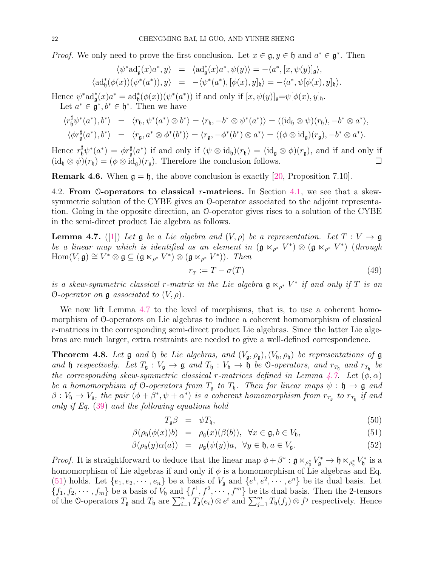*Proof.* We only need to prove the first conclusion. Let  $x \in \mathfrak{g}, y \in \mathfrak{h}$  and  $a^* \in \mathfrak{g}^*$ . Then

$$
\begin{array}{rcl}\langle \psi^*{\rm ad}^*_\mathfrak{g}(x)a^*,y\rangle&=&\langle{\rm ad}^*_\mathfrak{g}(x)a^*,\psi(y)\rangle=-\langle a^*,[x,\psi(y)]_\mathfrak{g}\rangle,\\ \langle{\rm ad}^*_\mathfrak{h}(\phi(x))(\psi^*(a^*)),y\rangle&=&-\langle \psi^*(a^*),[\phi(x),y]_\mathfrak{h}\rangle=-\langle a^*,\psi[\phi(x),y]_\mathfrak{h}\rangle.\end{array}
$$

Hence  $\psi^* \text{ad}^*_{\mathfrak{g}}(x) a^* = \text{ad}^*_{\mathfrak{h}}(\phi(x))(\psi^*(a^*))$  if and only if  $[x, \psi(y)]_{\mathfrak{g}} = \psi[\phi(x), y]_{\mathfrak{h}}$ .

Let  $a^* \in \mathfrak{g}^*, b^* \in \mathfrak{h}^*$ . Then we have

$$
\langle r_{\mathfrak{h}}^{\sharp} \psi^*(a^*), b^* \rangle = \langle r_{\mathfrak{h}}, \psi^*(a^*) \otimes b^* \rangle = \langle r_{\mathfrak{h}}, -b^* \otimes \psi^*(a^*) \rangle = \langle (\mathrm{id}_{\mathfrak{h}} \otimes \psi)(r_{\mathfrak{h}}), -b^* \otimes a^* \rangle,
$$
  

$$
\langle \phi r_{\mathfrak{g}}^{\sharp}(a^*), b^* \rangle = \langle r_{\mathfrak{g}}, a^* \otimes \phi^*(b^*) \rangle = \langle r_{\mathfrak{g}}, -\phi^*(b^*) \otimes a^* \rangle = \langle (\phi \otimes \mathrm{id}_{\mathfrak{g}})(r_{\mathfrak{g}}), -b^* \otimes a^* \rangle.
$$

Hence  $r_{\mathfrak{h}}^{\sharp}\psi^*(a^*) = \phi r_{\mathfrak{g}}^{\sharp}(a^*)$  if and only if  $(\psi \otimes id_{\mathfrak{h}})(r_{\mathfrak{h}}) = (id_{\mathfrak{g}} \otimes \phi)(r_{\mathfrak{g}})$ , and if and only if  $(id_{\mathfrak{h}} \otimes \psi)(r_{\mathfrak{h}}) = (\phi \otimes id_{\mathfrak{g}})(r_{\mathfrak{g}})$ . Therefore the conclusion follows.

**Remark 4.6.** When  $\mathfrak{g} = \mathfrak{h}$ , the above conclusion is exactly [20, Proposition 7.10].

4.2. From  $\mathcal{O}\text{-operators}$  to classical r-matrices. In Section 4.1, we see that a skewsymmetric solution of the CYBE gives an O-operator associated to the adjoint representation. Going in the opposite direction, an O-operator gives rises to a solution of the CYBE in the semi-direct product Lie algebra as follows.

**Lemma 4.7.** ([1]) Let  $\mathfrak{g}$  be a Lie algebra and  $(V, \rho)$  be a representation. Let  $T : V \to \mathfrak{g}$ *be a linear map which is identified as an element in*  $(\mathfrak{g} \ltimes_{\rho^*} V^*) \otimes (\mathfrak{g} \ltimes_{\rho^*} V^*)$  (*through*  $\text{Hom}(V, \mathfrak{g}) \cong V^* \otimes \mathfrak{g} \subseteq (\mathfrak{g} \ltimes_{\rho^*} V^*) \otimes (\mathfrak{g} \ltimes_{\rho^*} V^*)$ ). Then

$$
r_T := T - \sigma(T) \tag{49}
$$

*is a skew-symmetric classical* r-matrix in the Lie algebra  $\mathfrak{g} \ltimes_{\rho^*} V^*$  if and only if T is an  $\mathcal{O}\text{-}operator$  on  $\mathfrak{g}$  *associated to*  $(V,\rho)$ *.* 

We now lift Lemma 4.7 to the level of morphisms, that is, to use a coherent homomorphism of O-operators on Lie algebras to induce a coherent homomorphism of classical r-matrices in the corresponding semi-direct product Lie algebras. Since the latter Lie algebras are much larger, extra restraints are needed to give a well-defined correspondence.

**Theorem 4.8.** Let  $\mathfrak g$  and  $\mathfrak h$  be Lie algebras, and  $(V_{\mathfrak g}, \rho_{\mathfrak g}), (V_{\mathfrak h}, \rho_{\mathfrak h})$  be representations of  $\mathfrak g$ *and* **h** *respectively.* Let  $T_{\mathfrak{g}} : V_{\mathfrak{g}} \to \mathfrak{g}$  *and*  $T_{\mathfrak{h}} : V_{\mathfrak{h}} \to \mathfrak{h}$  be  $\circlearrowleft$ -operators, and  $r_{T_{\mathfrak{g}}}$  *and*  $r_{T_{\mathfrak{h}}}$  be *the corresponding skew-symmetric classical* r-matrices defined in Lemma  $\angle 7$ . Let  $(\phi, \alpha)$ *be a homomorphism of* O-operators from  $T_a$  to  $T_b$ . Then for linear maps  $\psi : \mathfrak{h} \to \mathfrak{g}$  and  $\beta: V_{\mathfrak{h}} \to V_{\mathfrak{g}},$  the pair  $(\phi + \beta^*, \psi + \alpha^*)$  is a coherent homomorphism from  $r_{T_{\mathfrak{g}}}$  to  $r_{T_{\mathfrak{h}}}$  if and *only if Eq.* (39) *and the following equations hold*

$$
T_{\mathfrak{g}}\beta = \psi T_{\mathfrak{h}},\tag{50}
$$

$$
\beta(\rho_{\mathfrak{h}}(\phi(x))b) = \rho_{\mathfrak{g}}(x)(\beta(b)), \forall x \in \mathfrak{g}, b \in V_{\mathfrak{h}}, \tag{51}
$$

$$
\beta(\rho_{\mathfrak{h}}(y)\alpha(a)) = \rho_{\mathfrak{g}}(\psi(y))a, \quad \forall y \in \mathfrak{h}, a \in V_{\mathfrak{g}}.\tag{52}
$$

*Proof.* It is straightforward to deduce that the linear map  $\phi + \beta^* : \mathfrak{g} \ltimes_{\rho_{\mathfrak{g}}} V_{\mathfrak{g}}^* \to \mathfrak{h} \ltimes_{\rho_{\mathfrak{h}}^*} V_{\mathfrak{h}}^*$  $\mathfrak{f}_{\mathfrak{h}}^*$  is a homomorphism of Lie algebras if and only if  $\phi$  is a homomorphism of Lie algebras and Eq. (51) holds. Let  $\{e_1, e_2, \dots, e_n\}$  be a basis of  $V_{\mathfrak{g}}$  and  $\{e^1, e^2, \dots, e^n\}$  be its dual basis. Let  $\{f_1, f_2, \dots, f_m\}$  be a basis of  $V_0$  and  $\{f^1, f^2, \dots, f^m\}$  be its dual basis. Then the 2-tensors of the O-operators  $T_{\mathfrak{g}}$  and  $T_{\mathfrak{h}}$  are  $\sum_{i=1}^n T_{\mathfrak{g}}(e_i) \otimes e^{i}$  and  $\sum_{j=1}^m T_{\mathfrak{h}}(f_j) \otimes f^j$  respectively. Hence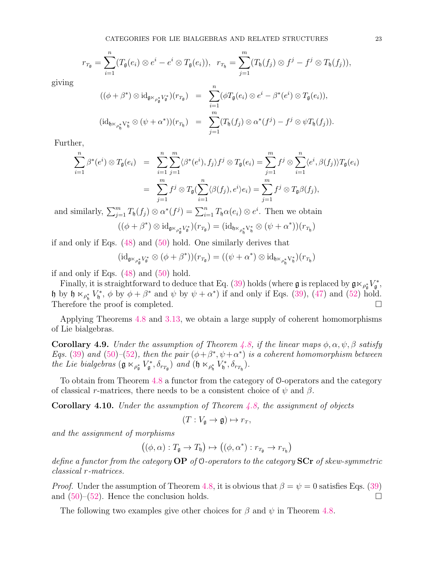$$
r_{T_{\mathfrak{g}}} = \sum_{i=1}^n (T_{\mathfrak{g}}(e_i) \otimes e^i - e^i \otimes T_{\mathfrak{g}}(e_i)), \ \ r_{T_{\mathfrak{h}}} = \sum_{j=1}^m (T_{\mathfrak{h}}(f_j) \otimes f^j - f^j \otimes T_{\mathfrak{h}}(f_j)),
$$

giving

$$
((\phi + \beta^*) \otimes \mathrm{id}_{\mathfrak{g}_{\mathbb{K}_{\rho_{\mathfrak{g}}}^*} V_{\mathfrak{g}}^*})(r_{T_{\mathfrak{g}}}) = \sum_{i=1}^n (\phi T_{\mathfrak{g}}(e_i) \otimes e^i - \beta^*(e^i) \otimes T_{\mathfrak{g}}(e_i)),
$$
  

$$
(\mathrm{id}_{\mathfrak{h}_{\mathbb{K}_{\rho_{\mathfrak{h}}}^*} V_{\mathfrak{h}}^*} \otimes (\psi + \alpha^*)) (r_{T_{\mathfrak{h}}}) = \sum_{j=1}^m (T_{\mathfrak{h}}(f_j) \otimes \alpha^*(f^j) - f^j \otimes \psi T_{\mathfrak{h}}(f_j)).
$$

Further,

$$
\sum_{i=1}^{n} \beta^*(e^i) \otimes T_{\mathfrak{g}}(e_i) = \sum_{i=1}^{n} \sum_{j=1}^{m} \langle \beta^*(e^i), f_j \rangle f^j \otimes T_{\mathfrak{g}}(e_i) = \sum_{j=1}^{m} f^j \otimes \sum_{i=1}^{n} \langle e^i, \beta(f_j) \rangle T_{\mathfrak{g}}(e_i)
$$
  

$$
= \sum_{j=1}^{m} f^j \otimes T_{\mathfrak{g}}(\sum_{i=1}^{n} \langle \beta(f_j), e^i \rangle e_i) = \sum_{j=1}^{m} f^j \otimes T_{\mathfrak{g}} \beta(f_j),
$$

and similarly,  $\sum_{j=1}^{m} T_{\mathfrak{h}}(f_j) \otimes \alpha^*(f^j) = \sum_{i=1}^{n} T_{\mathfrak{h}} \alpha(e_i) \otimes e^i$ . Then we obtain

$$
((\phi + \beta^*)\otimes \mathrm{id}_{\mathfrak{g}\ltimes_{\rho_\mathfrak{g}^*}V_\mathfrak{g}^*})(r_{T_\mathfrak{g}}) = (\mathrm{id}_{\mathfrak{h}\ltimes_{\rho_\mathfrak{h}^*}V_\mathfrak{h}^*}\otimes (\psi + \alpha^*)) (r_{T_\mathfrak{h}})
$$

if and only if Eqs. (48) and (50) hold. One similarly derives that

$$
(\mathrm{id}_{\mathfrak{g}\ltimes_{\rho_\mathfrak{g}^*}V_\mathfrak{g}^*}\otimes(\phi+\beta^*)) (r_{T_\mathfrak{g}})=((\psi+\alpha^*)\otimes \mathrm{id}_{\mathfrak{h}\ltimes_{\rho_\mathfrak{h}^*}V_\mathfrak{h}^*})(r_{T_\mathfrak{h}})
$$

if and only if Eqs.  $(48)$  and  $(50)$  hold.

Finally, it is straightforward to deduce that Eq. (39) holds (where  $\mathfrak g$  is replaced by  $\mathfrak g \ltimes_{\rho_{\mathfrak g}} V_{\mathfrak g}^*$ r\*,  $\mathfrak h$  by  $\mathfrak h \ltimes_{\rho_{\mathfrak h}^*} V_{\mathfrak h}^*$  $\mathcal{L}_{\mathfrak{h}}^*, \phi$  by  $\phi + \beta^*$  and  $\psi$  by  $\psi + \alpha^*$  if and only if Eqs. (39), (47) and (52) hold. Therefore the proof is completed.

Applying Theorems 4.8 and 3.13, we obtain a large supply of coherent homomorphisms of Lie bialgebras.

**Corollary 4.9.** *Under the assumption of Theorem 4.8, if the linear maps*  $\phi$ ,  $\alpha$ ,  $\psi$ ,  $\beta$  *satisfy Eqs.* (39) and (50)–(52), then the pair  $(\phi + \beta^*, \psi + \alpha^*)$  *is a coherent homomorphism between the Lie bialgebras*  $(\mathfrak{g} \ltimes_{\rho_{\mathfrak{g}}} \mathfrak{c}_\mathfrak{g}^*$  $(\mathfrak{h}_\mathfrak{g},\delta_{r_{T_\mathfrak{g}}})$  and  $(\mathfrak{h} \ltimes_{\rho_\mathfrak{h}^*} V_\mathfrak{h}^*)$  $\delta_{r_{T_{\mathfrak{h}}}}$ ).

To obtain from Theorem 4.8 a functor from the category of O-operators and the category of classical r-matrices, there needs to be a consistent choice of  $\psi$  and  $\beta$ .

Corollary 4.10. *Under the assumption of Theorem 4.8, the assignment of objects*

$$
(T:V_{\mathfrak{g}}\to\mathfrak{g})\mapsto r_T,
$$

*and the assignment of morphisms*

$$
((\phi,\alpha):T_{\mathfrak{g}}\to T_{\mathfrak{h}})\mapsto ((\phi,\alpha^*):r_{T_{\mathfrak{g}}}\to r_{T_{\mathfrak{h}}})
$$

*define a functor from the category* OP *of* O*-operators to the category* SCr *of skew-symmetric classical* r*-matrices.*

*Proof.* Under the assumption of Theorem 4.8, it is obvious that  $\beta = \psi = 0$  satisfies Eqs. (39) and  $(50)$ – $(52)$ . Hence the conclusion holds.

The following two examples give other choices for  $\beta$  and  $\psi$  in Theorem 4.8.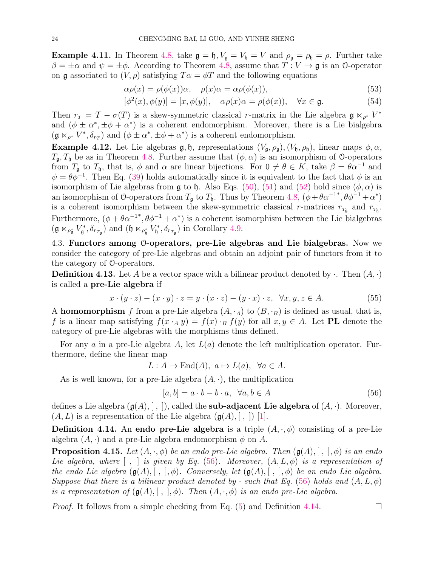**Example 4.11.** In Theorem 4.8, take  $\mathfrak{g} = \mathfrak{h}$ ,  $V_{\mathfrak{g}} = V_{\mathfrak{h}} = V$  and  $\rho_{\mathfrak{g}} = \rho_{\mathfrak{h}} = \rho$ . Further take  $\beta = \pm \alpha$  and  $\psi = \pm \phi$ . According to Theorem 4.8, assume that  $T : V \to \mathfrak{g}$  is an 0-operator on g associated to  $(V, \rho)$  satisfying  $T\alpha = \phi T$  and the following equations

$$
\alpha \rho(x) = \rho(\phi(x))\alpha, \quad \rho(x)\alpha = \alpha \rho(\phi(x)), \tag{53}
$$

$$
[\phi^2(x), \phi(y)] = [x, \phi(y)], \quad \alpha \rho(x)\alpha = \rho(\phi(x)), \quad \forall x \in \mathfrak{g}.
$$
 (54)

Then  $r_T = T - \sigma(T)$  is a skew-symmetric classical r-matrix in the Lie algebra  $\mathfrak{g} \ltimes_{\rho^*} V^*$ and  $(\phi \pm \alpha^*, \pm \phi + \alpha^*)$  is a coherent endomorphism. Moreover, there is a Lie bialgebra  $(\mathfrak{g} \ltimes_{\rho^*} V^*, \delta_{r_T})$  and  $(\phi \pm \alpha^*, \pm \phi + \alpha^*)$  is a coherent endomorphism.

**Example 4.12.** Let Lie algebras  $\mathfrak{g}, \mathfrak{h}$ , representations  $(V_{\mathfrak{g}}, \rho_{\mathfrak{g}}), (V_{\mathfrak{h}}, \rho_{\mathfrak{h}})$ , linear maps  $\phi, \alpha$ ,  $T_{\mathfrak{a}}$ ,  $T_{\mathfrak{h}}$  be as in Theorem 4.8. Further assume that  $(\phi, \alpha)$  is an isomorphism of 0-operators from  $T_{\mathfrak{g}}$  to  $T_{\mathfrak{h}}$ , that is,  $\phi$  and  $\alpha$  are linear bijections. For  $0 \neq \theta \in K$ , take  $\beta = \theta \alpha^{-1}$  and  $\psi = \theta \dot{\phi}^{-1}$ . Then Eq. (39) holds automatically since it is equivalent to the fact that  $\phi$  is an isomorphism of Lie algebras from  $\mathfrak g$  to  $\mathfrak h$ . Also Eqs. (50), (51) and (52) hold since  $(\phi, \alpha)$  is an isomorphism of O-operators from  $T_{\mathfrak{g}}$  to  $T_{\mathfrak{h}}$ . Thus by Theorem 4.8,  $(\phi + \theta \alpha^{-1} * , \theta \phi^{-1} + \alpha^*)$ is a coherent isomorphism between the skew-symmetric classical r-matrices  $r_{T_{\mathfrak{g}}}$  and  $r_{T_{\mathfrak{h}}}$ . Furthermore,  $(\phi + \theta \alpha^{-1}^*, \theta \phi^{-1} + \alpha^*)$  is a coherent isomorphism between the Lie bialgebras  $(\mathfrak{g}\ltimes_{\rho_\mathfrak{g}^*} V_\mathfrak{g}^*$  $(\mathfrak{h}_{\mathfrak{g}}, \delta_{r_{T_{\mathfrak{g}}}})$  and  $(\mathfrak{h} \ltimes_{\rho_{\mathfrak{h}}^*} V_{\mathfrak{h}}^*)$  $(\delta_{r_{T_{\mathfrak{g}}}})$  in Corollary 4.9.

4.3. Functors among O-operators, pre-Lie algebras and Lie bialgebras. Now we consider the category of pre-Lie algebras and obtain an adjoint pair of functors from it to the category of O-operators.

**Definition 4.13.** Let A be a vector space with a bilinear product denoted by  $\cdot$ . Then  $(A, \cdot)$ is called a pre-Lie algebra if

$$
x \cdot (y \cdot z) - (x \cdot y) \cdot z = y \cdot (x \cdot z) - (y \cdot x) \cdot z, \quad \forall x, y, z \in A.
$$
 (55)

A homomorphism f from a pre-Lie algebra  $(A, \cdot_A)$  to  $(B, \cdot_B)$  is defined as usual, that is, f is a linear map satisfying  $f(x \cdot_A y) = f(x) \cdot_B f(y)$  for all  $x, y \in A$ . Let **PL** denote the category of pre-Lie algebras with the morphisms thus defined.

For any a in a pre-Lie algebra A, let  $L(a)$  denote the left multiplication operator. Furthermore, define the linear map

$$
L: A \to \text{End}(A), \ a \mapsto L(a), \ \forall a \in A.
$$

As is well known, for a pre-Lie algebra  $(A, \cdot)$ , the multiplication

$$
[a, b] = a \cdot b - b \cdot a, \ \forall a, b \in A \tag{56}
$$

defines a Lie algebra  $(\mathfrak{g}(A), [ , ])$ , called the **sub-adjacent Lie algebra** of  $(A, \cdot)$ . Moreover,  $(A, L)$  is a representation of the Lie algebra  $(\mathfrak{g}(A), [ , ])$  [1].

**Definition 4.14.** An endo pre-Lie algebra is a triple  $(A, \cdot, \phi)$  consisting of a pre-Lie algebra  $(A, \cdot)$  and a pre-Lie algebra endomorphism  $\phi$  on A.

**Proposition 4.15.** Let  $(A, \cdot, \phi)$  be an endo pre-Lie algebra. Then  $(\mathfrak{g}(A), \lceil, \cdot, \cdot \rceil, \phi)$  is an endo *Lie algebra, where*  $\lceil , \rceil$  *is given by Eq.* (56)*. Moreover,*  $(A, L, \phi)$  *is a representation of the endo Lie algebra*  $(\mathfrak{g}(A), [ , ], \phi)$ *. Conversely, let*  $(\mathfrak{g}(A), [ , ], \phi)$  *be an endo Lie algebra. Suppose that there is a bilinear product denoted by · such that Eq.* (56) *holds and*  $(A, L, \phi)$ *is a representation of*  $(g(A), [ , ], \phi)$ *. Then*  $(A, \cdot, \phi)$  *is an endo pre-Lie algebra.* 

*Proof.* It follows from a simple checking from Eq. (5) and Definition 4.14.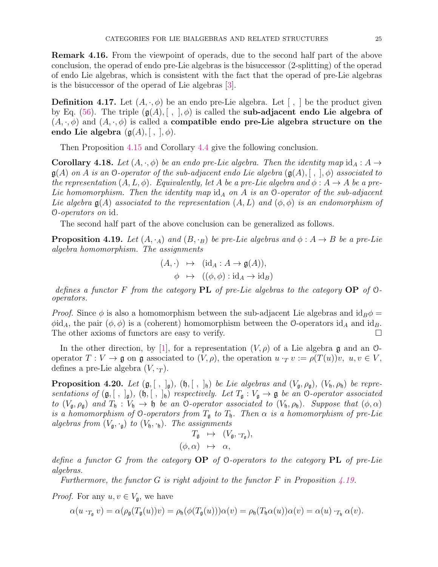Remark 4.16. From the viewpoint of operads, due to the second half part of the above conclusion, the operad of endo pre-Lie algebras is the bisuccessor (2-splitting) of the operad of endo Lie algebras, which is consistent with the fact that the operad of pre-Lie algebras is the bisuccessor of the operad of Lie algebras [3].

**Definition 4.17.** Let  $(A, \cdot, \phi)$  be an endo pre-Lie algebra. Let  $\lceil \cdot, \cdot \rceil$  be the product given by Eq. (56). The triple  $(g(A), [ , ], \phi)$  is called the sub-adjacent endo Lie algebra of  $(A, \cdot, \phi)$  and  $(A, \cdot, \phi)$  is called a **compatible endo pre-Lie algebra structure on the** endo Lie algebra  $(\mathfrak{g}(A), |, |, \phi)$ .

Then Proposition 4.15 and Corollary 4.4 give the following conclusion.

**Corollary 4.18.** Let  $(A, \cdot, \phi)$  be an endo pre-Lie algebra. Then the identity map  $id_A : A \rightarrow$  $\mathfrak{g}(A)$  *on* A *is an* 0-*operator of the sub-adjacent endo Lie algebra*  $(\mathfrak{g}(A), [ , ], \phi)$  *associated to the representation*  $(A, L, \phi)$ *. Equivalently, let* A *be a pre-Lie algebra and*  $\phi : A \rightarrow A$  *be a pre-Lie homomorphism. Then the identity map*  $id_A$  *on* A *is an* 0-*operator of the sub-adjacent Lie algebra*  $\mathfrak{g}(A)$  *associated to the representation*  $(A, L)$  *and*  $(\phi, \phi)$  *is an endomorphism of* O*-operators on* id*.*

The second half part of the above conclusion can be generalized as follows.

**Proposition 4.19.** *Let*  $(A, \cdot_A)$  *and*  $(B, \cdot_B)$  *be pre-Lie algebras and*  $\phi : A \rightarrow B$  *be a pre-Lie algebra homomorphism. The assignments*

$$
(A, \cdot) \mapsto (\mathrm{id}_A : A \to \mathfrak{g}(A)),
$$
  

$$
\phi \mapsto ((\phi, \phi) : \mathrm{id}_A \to \mathrm{id}_B)
$$

*defines a functor* F *from the category* PL *of pre-Lie algebras to the category* OP *of* O*operators.*

*Proof.* Since  $\phi$  is also a homomorphism between the sub-adjacent Lie algebras and  $id_B\phi =$  $\phi$ id<sub>A</sub>, the pair  $(\phi, \phi)$  is a (coherent) homomorphism between the O-operators id<sub>A</sub> and id<sub>B</sub>. The other axioms of functors are easy to verify.

In the other direction, by [1], for a representation  $(V, \rho)$  of a Lie algebra g and an  $\mathcal{O}$ operator  $T: V \to \mathfrak{g}$  on  $\mathfrak{g}$  associated to  $(V, \rho)$ , the operation  $u \cdot_T v := \rho(T(u))v, u, v \in V$ , defines a pre-Lie algebra  $(V, \cdot_T)$ .

**Proposition 4.20.** *Let*  $(g, [\ ,\ ]_g)$ *,*  $(h, [\ ,\ ]_h)$  *be Lie algebras and*  $(V_g, \rho_g)$ *,*  $(V_h, \rho_h)$  *be representations of*  $(g, [ , ]_g)$ ,  $(h, [ , ]_h)$  *respectively. Let*  $T_g : V_g \to g$  *be an* 0-*operator associated to*  $(V_{\mathfrak{g}}, \rho_{\mathfrak{g}})$  *and*  $T_{\mathfrak{h}} : V_{\mathfrak{h}} \to \mathfrak{h}$  *be an* O-operator associated to  $(V_{\mathfrak{h}}, \rho_{\mathfrak{h}})$ *. Suppose that*  $(\phi, \alpha)$ *is a homomorphism of* 0-operators from  $T_{\rm g}$  to  $T_{\rm h}$ . Then  $\alpha$  *is a homomorphism of pre-Lie algebras from*  $(V_{\mathfrak{g}}, \cdot_{\mathfrak{g}})$  *to*  $(V_{\mathfrak{h}}, \cdot_{\mathfrak{h}})$ *. The assignments* 

$$
T_{\mathfrak{g}} \quad \mapsto \quad (V_{\mathfrak{g}}, \cdot_{T_{\mathfrak{g}}}),
$$

$$
(\phi, \alpha) \quad \mapsto \quad \alpha,
$$

*define a functor* G *from the category* OP *of* O*-operators to the category* PL *of pre-Lie algebras.*

*Furthermore, the functor* G *is right adjoint to the functor* F *in Proposition 4.19.*

*Proof.* For any  $u, v \in V_{\mathfrak{a}}$ , we have

$$
\alpha(u \cdot_{T_{\mathfrak{g}}} v) = \alpha(\rho_{\mathfrak{g}}(T_{\mathfrak{g}}(u))v) = \rho_{\mathfrak{h}}(\phi(T_{\mathfrak{g}}(u)))\alpha(v) = \rho_{\mathfrak{h}}(T_{\mathfrak{h}}\alpha(u))\alpha(v) = \alpha(u) \cdot_{T_{\mathfrak{h}}} \alpha(v).
$$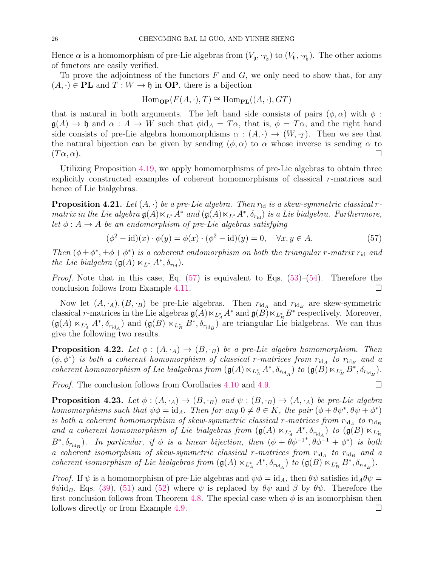Hence  $\alpha$  is a homomorphism of pre-Lie algebras from  $(V_{\mathfrak{g}}, \cdot_{T_{\mathfrak{g}}})$  to  $(V_{\mathfrak{h}}, \cdot_{T_{\mathfrak{h}}})$ . The other axioms of functors are easily verified.

To prove the adjointness of the functors  $F$  and  $G$ , we only need to show that, for any  $(A, \cdot) \in PL$  and  $T: W \to \mathfrak{h}$  in OP, there is a bijection

$$
\operatorname{Hom}_{\mathbf{OP}}(F(A,\cdot),T) \cong \operatorname{Hom}_{\mathbf{PL}}((A,\cdot),GT)
$$

that is natural in both arguments. The left hand side consists of pairs  $(\phi, \alpha)$  with  $\phi$ :  $\mathfrak{g}(A) \to \mathfrak{h}$  and  $\alpha : A \to W$  such that  $\phi \mathrm{id}_A = T\alpha$ , that is,  $\phi = T\alpha$ , and the right hand side consists of pre-Lie algebra homomorphisms  $\alpha : (A, \cdot) \to (W, \cdot_T)$ . Then we see that the natural bijection can be given by sending  $(\phi, \alpha)$  to  $\alpha$  whose inverse is sending  $\alpha$  to  $(T\alpha,\alpha).$ 

Utilizing Proposition 4.19, we apply homomorphisms of pre-Lie algebras to obtain three explicitly constructed examples of coherent homomorphisms of classical r-matrices and hence of Lie bialgebras.

**Proposition 4.21.** Let  $(A, \cdot)$  be a pre-Lie algebra. Then  $r_{id}$  is a skew-symmetric classical r*matrix in the Lie algebra*  $\mathfrak{g}(A) \ltimes_{L^*} A^*$  *and*  $(\mathfrak{g}(A) \ltimes_{L^*} A^*, \delta_{r_{\text{id}}})$  *is a Lie bialgebra. Furthermore, let*  $\phi: A \rightarrow A$  *be an endomorphism of pre-Lie algebras satisfying* 

$$
(\phi^2 - id)(x) \cdot \phi(y) = \phi(x) \cdot (\phi^2 - id)(y) = 0, \quad \forall x, y \in A.
$$
\n
$$
(57)
$$

*Then*  $(\phi \pm \phi^*, \pm \phi + \phi^*)$  *is a coherent endomorphism on both the triangular r-matrix*  $r_{id}$  *and the Lie bialgebra*  $(\mathfrak{g}(A) \ltimes_{L^*} A^*, \delta_{r_{\text{id}}}).$ 

*Proof.* Note that in this case, Eq.  $(57)$  is equivalent to Eqs.  $(53)$ – $(54)$ . Therefore the conclusion follows from Example 4.11.

Now let  $(A, \cdot_A), (B, \cdot_B)$  be pre-Lie algebras. Then  $r_{\text{id}_A}$  and  $r_{\text{id}_B}$  are skew-symmetric classical r-matrices in the Lie algebras  $\mathfrak{g}(A) \ltimes_{L_A^*} A^*$  and  $\mathfrak{g}(B) \ltimes_{L_B^*} B^*$  respectively. Moreover,  $(\mathfrak{g}(A) \ltimes_{L_A^*} A^*, \delta_{r_{\mathrm{id}_A}})$  and  $(\mathfrak{g}(B) \ltimes_{L_B^*} B^*, \delta_{r_{\mathrm{id}_B}})$  are triangular Lie bialgebras. We can thus give the following two results.

**Proposition 4.22.** Let  $\phi$  :  $(A, \cdot_A) \rightarrow (B, \cdot_B)$  be a pre-Lie algebra homomorphism. Then  $(\phi, \phi^*)$  *is both a coherent homomorphism of classical r-matrices from*  $r_{\mathrm{id}_A}$  to  $r_{\mathrm{id}_B}$  and a *coherent homomorphism of Lie bialgebras from*  $(\mathfrak{g}(A) \ltimes_{L_A^*} A^*, \delta_{r_{\mathrm{id}_A}})$  *to*  $(\mathfrak{g}(B) \ltimes_{L_B^*} B^*, \delta_{r_{\mathrm{id}_B}})$ *.* 

*Proof.* The conclusion follows from Corollaries 4.10 and 4.9.

**Proposition 4.23.** Let  $\phi : (A, \cdot_A) \to (B, \cdot_B)$  and  $\psi : (B, \cdot_B) \to (A, \cdot_A)$  be pre-Lie algebra *homomorphisms such that*  $\psi \phi = id_A$ . Then for any  $0 \neq \theta \in K$ , the pair  $(\phi + \theta \psi^*, \theta \psi + \phi^*)$ *is both a coherent homomorphism of skew-symmetric classical* r-matrices from  $r_{\text{id}_A}$  to  $r_{\text{id}_B}$ and a coherent homomorphism of Lie bialgebras from  $(\mathfrak{g}(A) \ltimes_{L_A^*} A^*, \delta_{r_{\mathrm{id}_A}})$  to  $(\mathfrak{g}(B) \ltimes_{L_B^*} A^*$  $B^*, \delta_{r_{\text{id}_B}}$ ). In particular, if  $\phi$  is a linear bijection, then  $(\phi + \theta \phi^{-1*}, \theta \phi^{-1} + \phi^*)$  is both *a* coherent isomorphism of skew-symmetric classical r-matrices from  $r_{id_A}$  to  $r_{id_B}$  and a *coherent isomorphism of Lie bialgebras from*  $(\mathfrak{g}(A) \ltimes_{L_A^*} A^*, \delta_{r_{\mathrm{id}_A}})$  *to*  $(\mathfrak{g}(B) \ltimes_{L_B^*} B^*, \delta_{r_{\mathrm{id}_B}})$ *.* 

*Proof.* If  $\psi$  is a homomorphism of pre-Lie algebras and  $\psi \phi = id_A$ , then  $\theta \psi$  satisfies  $id_A \theta \psi =$  $\theta \psi \mathrm{id}_B$ , Eqs. (39), (51) and (52) where  $\psi$  is replaced by  $\theta \psi$  and  $\beta$  by  $\theta \psi$ . Therefore the first conclusion follows from Theorem 4.8. The special case when  $\phi$  is an isomorphism then follows directly or from Example 4.9.

$$
\Box
$$